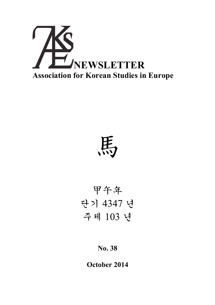

馬

甲午年 단기 4347 년 주체 103 년

# **No. 38**

**October 2014**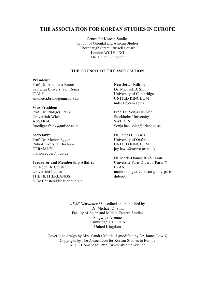## **THE ASSOCIATION FOR KOREAN STUDIES IN EUROPE**

Centre for Korean Studies School of Oriental and African Studies Thornhaugh Street, Russell Square London WC1H 0XG The United Kingdom

#### **THE COUNCIL OF THE ASSOCIATION**

#### **President:**

Prof. Dr. Antonetta Bruno Sapienza Università di Roma ITALY antonetta.bruno@uniroma1.it

#### **Vice-President:**

Prof. Dr. Rüdiger Frank Universität Wien AUSTRIA Ruediger.frank@univie.ac.at

#### **Secretary:**

Prof. Dr. Marion Eggert Ruhr-Universität Bochum GERMANY marion.eggert@rub.de

#### **Treasurer and Membership Affairs:**

Dr. Koen De Ceuster Universitet Leiden THE NETHERLANDS K.De.Ceuster@let.leidenuniv.nl

#### **Newsletter Editor:**

Dr. Michael D. Shin University of Cambridge UNITED KINGDOM mds71@cam.ac.uk

Prof. Dr. Sonja Häußler Stockholm University **SWEDEN** Sonja.haeussler@orient.su.se

Dr. James B. Lewis University of Oxford UNITED KINGDOM jay.lewis@orinst.ox.ac.uk

Dr. Marie-Orange Rivé-Lasan Université Paris Diderot (Paris 7) FRANCE marie-orange.rive-lasan@univ-parisdiderot.fr

*AKSE Newsletter 38* is edited and published by Dr. Michael D. Shin Faculty of Asian and Middle Eastern Studies Sidgwick Avenue Cambridge, CB3 9DA United Kingdom

Cover logo design by Mrs. Sandra Mattielli (modified by Dr. James Lewis) Copyright by The Association for Korean Studies in Europe AKSE Homepage: http://www.akse.uni-kiel.de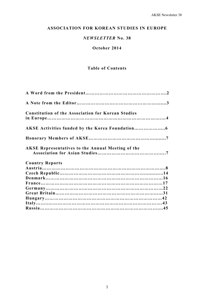# **ASSOCIATION FOR KOREAN STUDIES IN EUROPE**

# *NEWSLETTER* **No. 38**

# **October 2014**

# **Table of Contents**

| <b>Constitution of the Association for Korean Studies</b> |  |
|-----------------------------------------------------------|--|
|                                                           |  |
|                                                           |  |
| <b>AKSE Representatives to the Annual Meeting of the</b>  |  |
| <b>Country Reports</b>                                    |  |
|                                                           |  |
|                                                           |  |
|                                                           |  |
|                                                           |  |
|                                                           |  |
|                                                           |  |
|                                                           |  |
|                                                           |  |
|                                                           |  |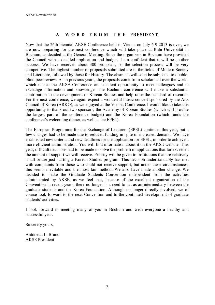# **A W O R D F R O M T H E PRESIDENT**

Now that the 26th biennial AKSE Conference held in Vienna on July 6-9 2013 is over, we are now preparing for the next conference which will take place at Ruhr-Universität in Bochum, as decided at the General Meeting. Since the organizers in Bochum have provided the Council with a detailed application and budget, I am confident that it will be another success. We have received about 300 proposals, so the selection process will be very competitive. The highest number of proposals submitted are in the fields of Modern Society and Literature, followed by those for History. The abstracts will soon be subjected to doubleblind peer review. As in previous years, the proposals come from scholars all over the world, which makes the AKSE Conference an excellent opportunity to meet colleagues and to exchange information and knowledge. The Bochum conference will make a substantial contribution to the development of Korean Studies and help raise the standard of research. For the next conference, we again expect a wonderful music concert sponsored by the Arts Council of Korea (ARKO), as we enjoyed at the Vienna Conference. I would like to take this opportunity to thank our two sponsors, the Academy of Korean Studies (which will provide the largest part of the conference budget) and the Korea Foundation (which funds the conference's welcoming dinner, as well as the EPEL).

The European Programme for the Exchange of Lecturers (EPEL) continues this year, but a few changes had to be made due to reduced funding in spite of increased demand. We have established new criteria and new deadlines for the application for EPEL, in order to achieve a more efficient administration. You will find information about it on the AKSE website. This year, difficult decisions had to be made to solve the problem of applications that far exceeded the amount of support we will receive. Priority will be given to institutions that are relatively small or are just starting a Korean Studies program. This decision understandably has met with complaints from those who could not receive support, but under these circumstances, this seems inevitable and the most fair method. We also have made another change. We decided to make the Graduate Students Convention independent from the activities administrated by AKSE, as we feel that, because of the excellent organization of the Convention in recent years, there no longer is a need to act as an intermediary between the graduate students and the Korea Foundation. Although no longer directly involved, we of course look forward to the next Convention and to the continued development of graduate students' activities.

I look forward to meeting many of you in Bochum and wish everyone a healthy and successful year.

Sincerely yours,

Antonetta L. Bruno AKSE President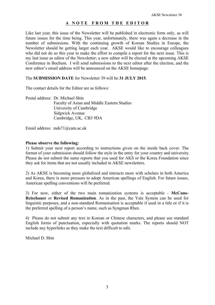## **A N O T E F R O M T H E E D I T O R**

Like last year, this issue of the Newsletter will be published in electronic form only, as will future issues for the time being. This year, unfortunately, there was again a decrease in the number of submissions. With the continuing growth of Korean Studies in Europe, the Newsletter should be getting larger each year. AKSE would like to encourage colleagues who did not do so this year to make the effort to compile a report for the next issue. This is my last issue as editor of the Newsletter; a new editor will be elected at the upcoming AKSE Conference in Bochum. I will send submissions to the next editor after the election, and the new editor's email address will be announced on the AKSE homepage.

The **SUBMISSION DATE** for Newsletter 39 will be **31 JULY 2015**.

The contact details for the Editor are as follows:

Postal address: Dr. Michael Shin Faculty of Asian and Middle Eastern Studies University of Cambridge Sidgwick Avenue Cambridge, UK, CB3 9DA

Email address: mds71@cam.ac.uk

#### **Please observe the following:**

1) Submit your next report according to instructions given on the inside back cover. The format of your submission should follow the style in the entry for your country and university. Please do not submit the same reports that you used for AKS or the Korea Foundation since they ask for items that are not usually included in AKSE newsletters.

2) As AKSE is becoming more globalized and interacts more with scholars in both America and Korea, there is more pressure to adopt American spellings of English. For future issues, American spelling conventions will be preferred.

3) For now, either of the two main romanization systems is acceptable - **McCune-Reischauer** or **Revised Romanization**. As in the past, the Yale System can be used for linguistic purposes, and a non-standard Romanisation is acceptable if used in a title or if it is the preferred spelling of a person's name, such as Syngman Rhee.

4) Please do not submit any text in Korean or Chinese characters, and please use standard English forms of punctuation, especially with quotation marks. The reports should NOT include any hyperlinks as they make the text difficult to edit.

Michael D. Shin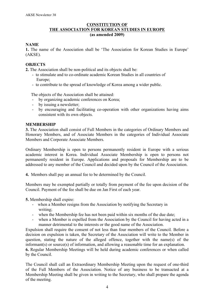## **CONSTITUTION OF THE ASSOCIATION FOR KOREAN STUDIES IN EUROPE (as amended 2009)**

#### **NAME**

**1.** The name of the Association shall be 'The Association for Korean Studies in Europe' (AKSE).

#### **OBJECTS**

**2.** The Association shall be non-political and its objects shall be:

- to stimulate and to co-ordinate academic Korean Studies in all countries of Europe<sup>-</sup>
- to contribute to the spread of knowledge of Korea among a wider public.

The objects of the Association shall be attained:

- by organizing academic conferences on Korea;
- by issuing a newsletter;
- by encouraging and facilitating co-operation with other organizations having aims consistent with its own objects.

#### **MEMBERSHIP**

**3.** The Association shall consist of Full Members in the categories of Ordinary Members and Honorary Members, and of Associate Members in the categories of Individual Associate Members and Corporate Associate Members.

Ordinary Membership is open to persons permanently resident in Europe with a serious academic interest in Korea. Individual Associate Membership is open to persons not permanently resident in Europe. Applications and proposals for Membership are to be addressed to any member of the Council and decided upon by the Council of the Association.

**4.** Members shall pay an annual fee to be determined by the Council.

Members may be exempted partially or totally from payment of the fee upon decision of the Council. Payment of the fee shall be due on Jan First of each year.

#### **5.** Membership shall expire:

- when a Member resigns from the Association by notifying the Secretary in writing;
- when the Membership fee has not been paid within six months of the due date;
- when a Member is expelled from the Association by the Council for having acted in a manner detrimental to the interests or the good name of the Association.

Expulsion shall require the consent of not less than four members of the Council. Before a decision on expulsion is taken, the Secretary of the Association will write to the Member in question, stating the nature of the alleged offence, together with the name(s) of the informant(s) or source(s) of information, and allowing a reasonable time for an explanation. **6.** Regular Membership Meetings will be held during academic conferences or when called

by the Council.

The Council shall call an Extraordinary Membership Meeting upon the request of one-third of the Full Members of the Association. Notice of any business to be transacted at a Membership Meeting shall be given in writing to the Secretary, who shall prepare the agenda of the meeting.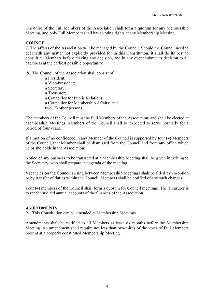One-third of the Full Members of the Association shall form a quorum for any Membership Meeting, and only Full Members shall have voting rights at any Membership Meeting.

#### **COUNCIL**

**7.** The affairs of the Association will be managed by the Council. Should the Council need to deal with any matter not explicitly provided for in this Constitution, it shall do its best to consult all Members before making any decision, and in any event submit its decision to all Members at the earliest possible opportunity.

**8.** The Council of the Association shall consist of:

 a President; a Vice-President; a Secretary; a Treasurer; a Councillor for Public Relations; a Councillor for Membership Affairs; and two (2) other persons.

The members of the Council must be Full Members of the Association, and shall be elected at Membership Meetings. Members of the Council shall be expected to serve normally for a period of four years.

If a motion of no confidence in any Member of the Council is supported by four (4) Members of the Council, that Member shall be dismissed from the Council and from any office which he or she holds in the Association.

Notice of any business to be transacted at a Membership Meeting shall be given in writing to the Secretary, who shall prepare the agenda of the meeting.

Vacancies on the Council arising between Membership Meetings shall be filled by co-option or by transfer of duties within the Council. Members shall be notified of any such changes.

Four (4) members of the Council shall form a quorum for Council meetings. The Treasurer is to render audited annual accounts of the finances of the Association.

#### **AMENDMENTS**

**9.** This Constitution can be amended at Membership Meetings.

Amendments shall be notified to all Members at least six months before the Membership Meeting. An amendment shall require not less than two-thirds of the votes of Full Members present at a properly constituted Membership Meeting.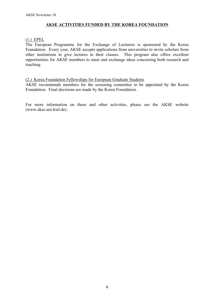# **AKSE ACTIVITIES FUNDED BY THE KOREA FOUNDATION**

#### (1.) EPEL

The European Programme for the Exchange of Lecturers is sponsored by the Korea Foundation. Every year, AKSE accepts applications from universities to invite scholars from other institutions to give lectures in their classes. This program also offers excellent opportunities for AKSE members to meet and exchange ideas concerning both research and teaching.

## (2.) Korea Foundation Fellowships for European Graduate Students

AKSE recommends members for the screening committee to be appointed by the Korea Foundation. Final decisions are made by the Korea Foundation.

For more information on these and other activities, please see the AKSE website (www.akse.uni-kiel.de).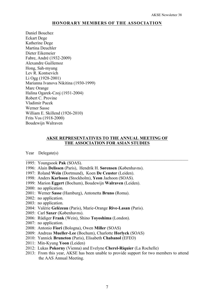#### **HONORARY MEMBERS OF THE ASSOCIATION**

Daniel Bouchez Eckart Dege Katherine Dege Martina Deuchler Dieter Eikemeier Fabre, André (1932-2009) Alexandre Guillemoz Hong, Sah-myung Lev R. Kontsevich Li Ogg (1928-2001) Marianna Ivanova Nikitina (1930-1999) Marc Orange Halina Ogarek-Czoj (1931-2004) Robert C. Provine Vladimir Pucek Werner Sasse William E. Skillend (1926-2010) Frits Vos (1918-2000) Boudewijn Walraven

#### **AKSE REPRESENTATIVES TO THE ANNUAL MEETING OF THE ASSOCIATION FOR ASIAN STUDIES**

 $\mathcal{L}_\text{max} = \frac{1}{2} \sum_{i=1}^n \mathcal{L}_\text{max}(\mathbf{z}_i - \mathbf{z}_i)$ 

Year Delegate(s)

- 1995: Youngsook **Pak** (SOAS).
- 1996: Alain **Delissen** (Paris), Hendrik H. **Sørensen** (Københavns).
- 1997: Roland **Wein** (Dortmund), Koen **De Ceuster** (Leiden).
- 1998: Anders **Karlsson** (Stockholm), **Yeon** Jaehoon (SOAS).
- 1999: Marion **Eggert** (Bochum), Boudewijn **Walraven** (Leiden).
- 2000: no application.
- 2001: Werner **Sasse** (Hamburg), Antonetta **Bruno** (Roma).
- 2002: no application.
- 2003: no application.
- 2004: Valérie **Gelézeau** (Paris), Marie-Orange **Rive-Lasan** (Paris).
- 2005: Carl **Saxer** (Københavns).
- 2006: Rüdiger **Frank** (Wein), Shino **Toyoshima** (London).
- 2007: no application.
- 2008: Antonio **Fiori** (Bologna), Owen **Miller** (SOAS)
- 2009: Andreas **Mueller-Lee** (Bochum), Charlotte **Horlyck** (SOAS)
- 2010: Yannick **Bruneton** (Paris), Elisabeth **Chabanol** (EFEO)
- 2011: Min-Kyung **Yoon** (Leiden)
- 2012: Lukas **Pokorny** (Vienna) and Evelyne **Cherel-Riquier** (La Rochelle)
- 2013: From this year, AKSE has been unable to provide support for two members to attend the AAS Annual Meeting.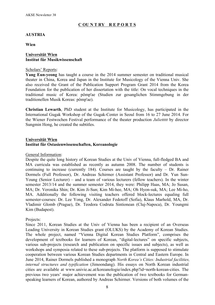# **C OU N T RY R E P O R T S**

## **AUSTRIA**

**Wien**

## **Universität Wien Institut für Musikwissenschaft**

## Scholars' Reports:

**Yang Eun-yeong** has taught a course in the 2014 summer semester on traditional musical theater in China, Korea and Japan in the Institute for Musicology of the Vienna Univ. She also received the Grant of the Publication Support Program Grant 2014 from the Korea Foundation for the publication of her dissertation with the title: On vocal techniques in the traditional music of Korea: pômp'ae (Studien zur gesanglichen Stimmgebung in der traditionellen Musik Koreas: pômp'ae).

**Christian Lewarth**, PhD student at the Institute for Musicology, has participated in the International Gugak Workshop of the Gugak-Center in Seoul from 16 to 27 June 2014. For the Wiener Festwochen Festival performance of the theater production *Juliettttt* by director Sungmin Hong, he created the subtitles.

#### **Universität Wien Institut für Ostasienwissenschaften, Koreanologie**

#### General Information:

Despite the quite long history of Korean Studies at the Univ of Vienna, full-fledged BA and MA curricula was established as recently as autumn 2008. The number of students is continuing to increase (currently 184). Courses are taught by the faculty  $-$  Dr. Rainer Dormels (Full Professor), Dr. Andreas Schirmer (Assistant Professor) and Dr. Yun Sun-Young (Senior Lecturer) – and a team of various lecturers (fellow teachers). In the winter semester 2013/14 and the summer semester 2014, they were: Philipp Haas, MA; Jo Susan, MA; Dr. Veronika Shin; Dr. Kim Ji-Sun; Kim Mi-hee, MA; Oh Hyon-suk, MA; Lee Mi-ho, MA. Additionally the following visiting teachers offered block-lectures equaling full semester-courses: Dr. Lee Yong, Dr. Alexander Fedotoff (Sofia), Klaus Marhold, MA, Dr. Vladimir Glomb (Prague), Dr. Teodora Codruta Sintionean (Cluj-Napoca), Dr. Youngmi Kim (Budapest).

#### Projects:

Since 2011, Korean Studies at the Univ of Vienna has been a recipient of an Overseas Leading University in Korean Studies grant (OLUKS) by the Academy of Korean Studies. The whole project, named "Vienna Digital Korean Studies Platform", comprises the development of textbooks for learners of Korean, "digital-lectures" on specific subjects, various sub-projects (research and publication on specific issues and subjects), as well as workshops and symposia related to these sub-projects. The platform is supposed to stimulate cooperation between various Korean Studies departments in Central and Eastern Europe. In June 2014, Rainer Dormels published a monograph *North Korea's Cities: Industrial facilities, internal structures and typification* (Jimoondang). His essays on North Korean industrial cities are available at www.univie.ac.at/koreanologie/index.php?id=north-korean-cities. The previous two years' major achievement was the publication of two textbooks for Germanspeaking learners of Korean, authored by Andreas Schirmer. Versions of both volumes of the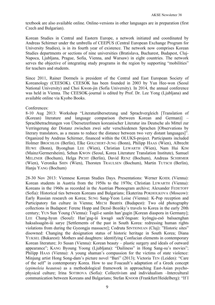textbook are also available online. Online-versions in other languages are in preparation (first Czech and Bulgarian).

Korean Studies in Central and Eastern Europe, a network initiated and coordinated by Andreas Schirmer under the umbrella of CEEPUS (Central European Exchange Program for University Studies), is in its fourth year of existence. The network now comprises Korean Studies departments or sections of nine universities (Bratislava, Bucharest, Budapest, Cluj-Napoca, Ljubljana, Prague, Sofia, Vienna, and Warsaw) in eight countries. The network serves the objective of integrating study programs in the region by supporting "mobilities" for teachers and students.

Since 2011, Rainer Dormels is president of the Central and East European Society of Koreanology (CEESOK). CEESOK has been founded in 2003 by Yun Hee-won (Seoul National University) and Choi Kwon-jin (Sofia University). In 2014, the annual conference was held in Vienna. The CEESOK-journal is edited by Prof. Dr. Lee Yong (Ljubljana) and available online via Kyobo Books.

## Conferences:

8-10 Aug 2013: Workshop "Literaturübersetzung und Sprachvergleich [Translation of (Korean) literature and language comparison (between Korean and German)] Sprachbetrachtungen von ÜbersetzerInnen koreanischer Literatur ins Deutsche als Mittel zur Verringerung der Distanz zwischen zwei sehr verschiedenen Sprachen [Observations by literary translators, as a means to reduce the distance between two very distant languages]". Organized by Andreas Schirmer, financed within the OLUKS-project. Participants included Holmer BROCHLOS (Berlin), Elke GOLCHERT-JUNG (Bonn), Philipp HAAS (Wien), Albrecht HUWE (Bonn), Byonghun LEE (Wien), Christian LEWARTH (Wien), Nam Hui KIM (Mainz/Germersheim), Sehun KWON (Seoul, Korea Literature Translation Institute), Samuel MELZNER (Bochum), Helga PICHT (Berlin), David RENZ (Bochum), Andreas SCHIRMER (Wien), Veronika SHIN (Wien), Thorsten TRAULSEN (Bochum), Martin TUTSCH (Berlin), Hanju YANG (Bochum)

28-30 Nov 2013: Viennese Korean Studies Days. Presentations: Werner KOIDL (Vienna): Korean students in Austria from the 1950s to the 1970s; Christian LEWARTH (Vienna): Koreans in the 1960s as recorded in the Austrian Phonogram archive; Alexander FEDETOFF (Sofia): Historical ties between Koreans and Bulgarians; Ekaterina POKHOLKOVA (Moscow): Early Russian research on Korea; SUNG Sang-Yeon Loise (Vienna): K-Pop reception and Participatory fan culture in Vienna; MECSI Beatrix (Budapest): Two old photography collections in Budapest: Ferenc Hopp and Dezső Bozóky's travels to Korea in the early 20th century; YUN Sun Young (Vienna): Togil-e sanŭn han'gugin [Korean diaspora in Germany]; LEE Chang-hyun (Seoul): Han'gug-ŭi kwagŏ sach'ŏngsan: kyŏngju-esŏ balsaenghan haksalssagŏn-ŭi sarye [Settlements of the past in South Korea: redressing human rights violations from during the Gyeongju massacre]; Codruta SINTIONEAN (Cluj): "Historic sites" disowned: Changing the designation status of historic heritage in South Korea; Diana YUKSEL (Bukarest): Mothers and daughters: identifying Confucian elements in contemporary Korean literature; JO Susan (Vienna): Korean beauty – plastic surgery and ideals of outward appearance"; KANG Byoung Yoong (Ljubljana): "Dailiness" in Hong Sang-su's movies"; Philipp HAAS (Vienna): A young shaman's compassion for the victims of state violence: Minjung artist Hong Song-dam's picture novel "Bari" (2013); Victoria TEN (Leiden): "Care of the self" in contemporary Korea. How to use Foucault's adaptation of a Greek concept (*epimeleia heautou*) as a methodological framework in approaching East-Asian psychophysical culture; Irina SOTIROVA (Sofia): Collectivism and individualism -Intercultural communication between Koreans and Bulgarians; Stefan KNOOB (Frankfurt/Heidelberg): "If I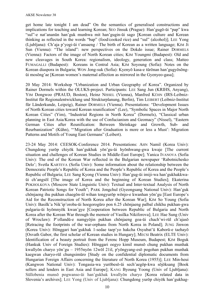get home late tonight I am dead" On the semantics of generalised constructions and implications for teaching and learning Korean; SEO Jinsuk (Prague): Han'gugŏ-ŭi "pap" kwa "sul"-e nat'ananŭn han'guk munhwa mit han'gugin-ŭi sago [Korean culture and Korean thinking as reflected in the words "bap" (food/cooked rice) and "sul" (alcohol)]; LEE Yong (Ljubljana): Ch'aja p'yogi-ŭi t'ansaeng / The birth of Korean as a written language; KIM Ji Sun (Vienna): "The island": new perspectives on the Dokdo issue; Rainer DORMELS (Vienna): Factors of the image of North Korean cities; KIM Youngmi (Budapest): Old and new cleavages in South Korea: regionalism, ideology, generation and class; Matteo FUMAGALLI (Budapest): Koreans in Central Asia; KIM Soyoung (Sofia): Notes on the Korean diaspora in Bulgaria; WON Jong-suk (Sofia): Kyenyŏ kasa-e tŭrŏnan han'gugyŏsŏngŭi mosŏng'ae [Korean women's maternal affection as mirrored in the Gyenyeo-gasa];

20 May 2014: Workshop "Urbanization and Urban Geography of Korea". Organized by Rainer Dormels within the OLUKS-project. Participants: LEE Sang Jun (KRIHS, Anyang), YIM Dongwoo (PRAUD, Boston), Heinz NISSEL (Vienna), Manfred KÜHN (IRS-Leibniz-Institut für Regionalentwicklung und Strukturplanung, Berlin), Tim LEIBERT (Leibniz-Institut für Länderkunde, Leipzig), Rainer DORMELS (Vienna). Presentations: "Development Issues of North Korean cities toward Korean reunification" (Lee), "Symbolic Spaces in Major North Korean Cities" (Yim), "Industrial Regions in North Korea" (Dormels), "Classical urban planning in East Asia/Korea with the use of Confucianism and Geomacy" (Nissel), "Eastern German Cities after Reunification: Between Shrinkage and Growth, Sub- and Reurbanization" (Kühn), "'Migration after Graduation is more or less a Must': Migration Patterns and Motifs of Young East Germans" (Leibert).

23-24 May 2014: CEESOK-Conference 2014. Presentations: AHN Namil (Korea Univ): Chungdong yurŏp chiyŏk han'gukhak yŏn'gu-ŭi hyŏnhwang-gwa kwaje [The current situation and challenges of Korean Studies in Middle-East Europe]; Yanica IVANOVA (Sofia Univ): The end of the Korean War reflected in the Bulgarian newspaper 'Rabotnichesko Delo'; Svetla KARTEVA (Sofia Univ): Some information about the relationship between the Democratic People's Republic of Korea and the People's Republic of Korea and the People's Republic of Bulgaria; LEE Sang Kyong (Vienna Univ): Han'gug-ŭi imiji-wa han'gukhakkwaŭi ch'angsŏl [The image of Korea and the beginning of Korean Studies]; Ekaterina POKHOLKOVA (Moscow State Linguistic Univ): Textual and Inter-textual Analysis of North Korean Patriotic Songs for Youth"; PARK Jongchul (Gyeongsang National Univ): Han'guk chŏnjaeng ihu pukhan chaegŏn-ŭl wihan tongyurŏp wŏnjo-e kwanhan yŏn'gu [East Europe's Aid for the Reconstruction of North Korea after the Korean War]; KIM So Young (Sofia Univ): Basilk'a Nik'ip'oroba-ŭi hoegorogŭro pon 6.25 chŏnjaeng palbal chikhu pukhan-gwa pulgaria-ŭi hyŏmnyŏk kwan'gye [Cooperation between Republic of Bulgaria and North Korea after the Korean War through the memoir of Vasilka Nikiforova]; LEE Hae Sung (Univ of Wroclaw): P'ollandŭ-e namgyŏjin pukhan chŏnjaeng goa-ŭi chach'wi-rŭl ch'ajasŏ [Retracing the footprints of the war-orphans from North Korea in Poland]; JUNG Jinwon (Korea Univ): Hŏnggari han'gukhak 1-sedae taep'yo hakcha Osyubat'ŭ Kaborŭ-e taehayŏ [Osvath Gabor, the first scholar of Korean studies in Hungary]; MECSI Beatrix (ELTE Univ): Identification of a beauty portrait from the Ferenc Hopp Museum, Budapest; KIM Boguk (Hankuk Univ of Foreign Studies): Hŏnggari oegyo kimil munsŏ chung pukhan munhak kwallyŏn charyo yŏn'gu ‒ 1955nyŏn 12wŏl 21il, p'yŏngyang-esŏ pogohan pukhan munhak kaegwan charyo-rŭl chungsimŭro [Study on the confidential diplomatic documents from Hungarian Foreign Affairs concerning the literature of North Korea (1955)]; LEE Min-heui (Kangwon National Univ): Tongasia-wa yurŏbesŏ-ŭi sech'aegŏp-kwa sŏjŏksang [Book sellers and lenders in East Asia and Europe]; KANG Byoung Yoong (Univ of Ljubljana): Sŭllobenia munsŏ pogwanso-ŭi han'gukhak kwallyŏn charyo [Korea related data in Slovenia's archives]; LEE Yong (Univ of Ljubljana): Chungdong yurŏp chiyŏk han'gukhag-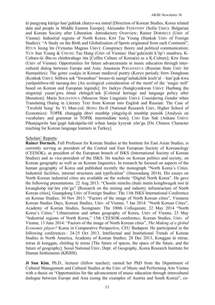ŭi pangyang kŭrigo han'gukhak charyo-wa inmul [Direction of Korean Studies, Korea related data and people in Middle Eastern Europe]; Alexander FEDOTOFF (Sofia Univ): Bulgarian and Korean Society after Liberation -Introductory Overview; Rainer DORMELS (Univ of Vienna): Industrial regions of North Korea; KIM Tae Young (Hankuk Univ of Foreign Studies): "A Study on the Birth and Globalization of Sports originated from each Continent"; HYUN Jeong Im (Vytautas Magnus Univ): Conspiracy theory and political communication; YUN Sun Young & CHUNG Tae Hung (Univ of Vienna): Han'guk(in)ŭi k'ŏp'i munhwa, K-Culture-ŭi ilbu-ro chinhwahago itta [Coffee Culture of Korea(n) as a K-Culture]; KIM Jisun (Univ of Vienna): Opportunities for future advancements in music education through intercultural dialog between Europe and Asia; Anastasia POGADAEVA (Russian State Univ for Humanities): The genre *soakpu* in Korean medieval poetry (Koryo period); SHIN Dongheun (Konkuk Univ): Sŏlhwa sok "hwasubun" hwaso-ŭi saengt'aehakchŏk koch'al ‒ han'guk-kwa yurŏpsŏrhwa-rŭl taesang-ŭro [An ecological consideration of the motif of the 'magic mill' based on Korean and European legends]; JIN Jaekyo (Sungkyunkwan Univ): Haebang ihu singminji yusan'gwa ŏmun chŏngch'aek [Colonial heritage and language policy after liberation]; Maria SOLDATOVA (Moscow State Linguistic Univ): Considering Gender when Translating Dialog in Literary Text from Korean into English and Russian: The Case of 'Twofold Song' by Yi Mun-yol; HONG Do-Il (National Research Univ, Higher School of Economics): TOPIK chunggŭp ŏhwi munbŏp yŏngyŏg-ŭi munbŏp punsŏk [Analysis on vocabulary and grammar in TOPIK intermediate tests]; CHO Eun Suk (Ankara Univ): Pihanjagwŏn han'gugŏ haksŭpcha-rŭl wihan hanja kyoyuk yŏn'gu [On Chinese Character teaching for Korean language learners in Turkey].

#### Scholars' Reports:

**Rainer Dormels**, Full Professor for Korean Studies at the Institute for East Asian Studies, is currently serving as president of the Central and East European Society of Koreanology (CEESOK), as president of the European branch of ISKS (International Society of Korean Studies) and as vice-president of the ISKS. He teaches on Korean politics and society, on Korean geography as well as on Korean linguistics. In research he focused on aspects of the human geography of Korea and published recently the monograph "North Korea's Cities. Industrial facilities, internal structures and typification" (Jimoondang 2014). His essays on North Korean industrial cities are available on the website "Digital North Korea". He gave the following presentations: 22 Aug 2013: "Chosŏn minchu chuǔi inmin konghwaguk tosi ǔi kwangkoŏp inp'ǔra yŏn'gu" [Research on the mining and industry infrastructure of North Korean cities], Guangdong Univ of Foreign Studies: The 11th ISKS International Conference on Korean Studies; 30 Nov 2013: "Factors of the image of North Korean cities", Viennese Korean Studies Days, Korean Studies, Univ. of Vienna; 7 Jan 2014: "North Korean Cities", Academy of Korean Studies, Seongnam: The 100th Colloquium; 22 May 2014 "North Korea's Cities," Urbanization and urban geography of Korea, Univ of Vienna; 23 May "Industrial regions of North Korea," 15th CEESOK-conferenc*e*, Korean Studies, Univ. of Vienna; 13 June 2014: "Factors of the image of North Korean cities", *The Making of a global Economic player?* Korea in Comparative Perspective, CEU Budapest. He participated in the following conferences : 24-25 Oct 2013, Intellectual and Institutional Trends of Korean Studies in North America, Academy of Korean Studies; 20 Dec 2013, Konggan ŭi mirae, mirae ŭi konggan, chirihag ŭi mirae [The future of spaces, the space of the future, and the future of geography], Seoul National Univ, Dept. of Geography, Korea Research Institute for Human Settlements (KRIHS).

**Ji Sun Kim**, Ph.D., lecturer (fellow teacher), earned her PhD from the Department of Cultural Management and Cultural Studies at the Univ of Music and Performing Arts Vienna with a thesis on "Opportunities for the advancement of music education through intercultural dialogue between Europe and Asia (using the examples of Austria and South Korea)", co-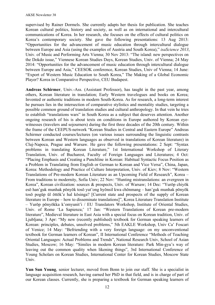supervised by Rainer Dormels. She currently adapts her thesis for publication. She teaches Korean cultural politics, history and society, as well as on international and intercultural communications of Korea. In her research, she focuses on the effects of cultural politics on Korea's contemporary society. She gave the following presentations: 13 Aug 2013: "Opportunities for the advancement of music education through intercultural dialogue between Europe and Asia (using the examples of Austria and South Korea)," *isaScience 2013*, Univ. of Music and Performing Arts Vienna; 30 Nov 2013: "The island: new perspectives on the Dokdo issue," Viennese Korean Studies Days, Korean Studies, Univ. of Vienna; 24 May 2014: "Opportunities for the advancement of music education through intercultural dialogue between Europe and Asia," CEESOK conference, Korean Studies, Univ of Vienna; 14 June: "Export of Western Music Education to South Korea," The Making of a Global Economic Player? Korea in Comparative Perspective, CEU Budapest.

**Andreas Schirmer**, Univ.-Ass. (Assistant Professor), has taught in the past year, among others, Korean literature in translation; Early Western travelogues and books on Korea; Invented or authentic traditions in modern South-Korea. As for research, a long-term interest he pursues lies in the intersection of comparative stylistics and mentality studies, targeting a possible common ground of translation studies and cultural anthropology. In that vein he tries to establish "translations wars" in South Korea as a subject that deserves attention. Another ongoing research of his is about texts on conditions in Europe authored by Korean eyewitnesses (travelers and sojourners) during the first three decades of the 20th century. Within the frame of the CEEPUS-network "Korean Studies in Central and Eastern Europe" Andreas Schirmer conducted courses/lectures (on various issues surrounding the linguistic contrasts between Korean and Western languages as observed in translations of Korean literature) in Cluj-Napoca, Prague and Warsaw. He gave the following presentations: 2 Sept: "Syntax problems in translating Korean Literature," 1st International Workshop of Literary Translation, Univ. of Bucharest, Faculty of Foreign Languages and Literatures; 4 Oct: "Placing Emphasis and Creating a Punchline in Korean: Habitual Syntactic Focus Position as a Problem in Translating from English or German to Korean and Vice Versa", China, Japan, Korea: Methodology and Practice of Culture Interpretation, Univ. of Kiev; 8 Nov: "Western Translations of Pre-modern Korean Literature as an Upcoming Field of Research", Korea – From traditions to modernity, Sofia Univ; 22 Nov: "Hunting mistranslations: an evergreen in Korea", Korean civilization: sources & prospects, Univ. of Warsaw; 14 Dec: "Yurŏp chiyŏk esŏ han'guk munhak pŏnyŏk tosŏ yut'ong hyŏnsil kwa chŏnmang – han'guk munhak pŏnyŏk tosŏ pogŭp ŭl ŏttŏk'e hal kŏsinga? [Current state and prospects of the supply of Korean literature in Europe – how to disseminate translations]", Korea Literature Translation Institute – Yurŏp pŏnyŏkka k'omyunit'i / EU Translators Workshop, Institute of Oriental Studies, Univ. of Rome 'La Sapienza;' 17 Jan: "Western Translations of Korean pre-modern literature", Medieval literature in East Asia with a special focus on Korean tradition, Univ. of Ljubljana; 3 Apr: "My new (recently published) textbook for German speaking learners of Korean: principles, debates, unsolved problems," 5th EAKLE Workshop, Univ Ca' Foscari of Venice; 14 May: "Befriending with a very foreign language: on my unconventional textbook for German learners of Korean", II International Conference "Methods of Teaching Oriental Languages: Actual Problems and Trends", National Research Univ, School of Asian Studies, Moscow; 16 May: "Similes in modern Korean literature: Park Min-gyu's way of leaving out the common quality when likening things", 3rd International Conference of Young Scholars on Korean Studies, International Center for Korean Studies, Moscow State Univ.

**Yun Sun Young**, senior lecturer, moved from Bonn to join our staff. She is a specialist in language acquisition research, having earned her PhD in that field, and is in charge of part of our Korean classes. Currently, she is preparing a textbook for German speaking learners of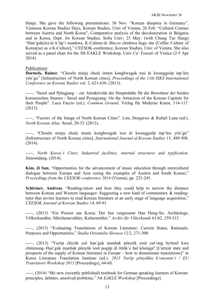Hanja. She gave the following presentations: 30 Nov: "Korean diaspora in Germany", Viennese Korean Studies Days, Korean Studies, Univ of Vienna; 26 Feb: "Cultural Contact between Austria and North Korea", Comparative analysis of the decolonization in Bulgaria and in Korea, Dept. for Korean Studies, Sofia Univ; 23 May: (with Chung Tae Hung) "Han'guk(in)-ŭi k'ŏp'i munhwa, K-Culture-ŭi ilbu-ro chinhwa hago itta [Coffee Culture of Korea(ns) as a K-Culture]," CEESOK-conference, Korean Studies, Univ of Vienna. She also served as a panel chair for the 5th EAKLE Workshop, Univ Ca' Foscari of Venice (2-5 Apr 2014).

## Publications:

**Dormels, Rainer**, "Chosŏn minju chuŭi inmin konghwaguk tosi ŭi kwanggoŏp inp'ŭra yŏn'gu" [Infrastructure of North Korean cities], *Proceedings of the 11th ISKS International Conference on Korean Studies* vol. 2, 621-630. (2013).

-----, "Seoul und Pjöngjang – zur Attraktivität der Hauptstädte für die Bewohner der beiden koreanischen Staaten / Seoul and Pyongyang: On the Attraction of the Korean Capitals for their People". Luca Faccio (ed.), *Common Ground*. Verlag für Moderne Kunst, 114-117. (2013).

-----, "Factors of the Image of North Korean Cities". Lim, Dongwoo & Rafael Luna (ed.), *North Korean Atlas*. Seoul, 20-33. (2013).

-----, "Chosŏn minju chuŭi inmin konghwaguk tosi ŭi kwanggoŏp inp'ŭra yŏn'gu" [Infrastructure of North Korean cities], *International Journal of Korean Studies* 15, 489-508. (2014).

-----, *North Korea's Cities. Industrial facilities, internal structures and typification.* Jimoondang. (2014).

**Kim, Ji Sun**, "Opportunities for the advancement of music education through intercultural dialogue between Europa and Asia (using the examples of Austria and South Korea)," *Proceedings from the CEESOK-conference 2014* (Vienna), pp. 223-245.

**Schirmer, Andreas**, "Reading-tutors and how they could help to narrow the distance between Korean and Western languages: Suggesting a new kind of commentary & readingtutor that invites learners to read Korean literature at an early stage of language acquisition," *CEESOK Journal of Korean Studies* 14, 69-91.

-----, (2013) "Ein Pionier aus Korea. Der fast vergessene Han Hung-Su: Archäologe, Völkerkundler, Märchenerzähler, Kulturmittler," *Archiv für Vökerkunde* 61/62, 259-315.

-----, (2013) "Evaluating Translations of Korean Literature: Current Status, Rationale, Purposes and Opportunities," *Studia Orientalia Slovaca* 12/2, 271-300.

-----, (2013) "Yurŏp chiyŏk esŏ han'guk munhak pŏnyŏk tosŏ yut'ong hyŏnsil kwa chŏnmang–Han'guk munhak pŏnyŏk tosŏ pogŭp ŭl ŏttŏk'e hal kŏsinga? [Current state and prospects of the supply of Korean literature in Europe – how to disseminate translations]" in Korea Literature Translation Institute (ed.), *2013 Yurŏp pŏnyŏkka k'omyunit'i / EU Translators Workshop 2013* [Proceedings], 64-68.

-----, (2014) "My new (recently published) textbook for German speaking learners of Korean: principles, debates, unsolved problems," *5th EAKLE Workshop* [Proceedings].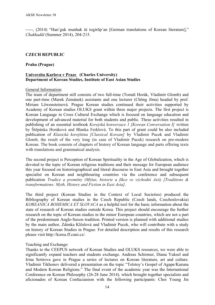-----, (2014) "Han'guk munhak ŭi togirŏp'an [German translations of Korean literature]," *Chakkadŭl* (Summer 2014), 204-215.

## **CZECH REPUBLIC**

#### **Praha (Prague)**

#### **Univerzita Karlova v Praze (Charles University) Department of Korean Studies, Institute of East Asian Studies**

#### General Information:

The team of department still consists of two full-time (Tomáš Horák, Vladimír Glomb) and one part-time (Marek Zemánek) assistants and one lecturer (Chŏng Jŏnu) headed by prof. Miriam Löwensteinová. Prague Korean studies continued their activities supported by Academy of Korean studies OLUKS grant within three major projects. The first project is Korean Language in Cross Cultural Exchange which is focused on language education and development of advanced material for both students and public. These activities resulted in publishing of an essential textbook *Korejská konverzace 1 [Korean Conversation I]* written by Štěpánka Horáková and Blanka Ferklová. To this part of grant could be also included publication of *Klasická korejština [Classical Korean]* by Vladimir Pucek and Vladimir Glomb, the result of the very long (in case of Vladimir Pucek) research on pre-modern Korean. The book consists of chapters of history of Korean language and parts offering texts with translations and grammatical analysis.

The second project is Perception of Korean Spirituality in the Age of Globalization, which is devoted to the topic of Korean religious traditions and their message for European audience this year focused on historiographical and literal discourse in East Asia and brought together specialist on Korean and neighbouring countries via the conference and subsequent publication *Tradice a proměny (Mýtus, historie a fikce ve východní Asii) [Traditions & transformations: Myth, History and Fiction in East Asia]*.

The third project (Korean Studies in the Context of Local Societies) produced the Bibliography of Korean studies in the Czech Republic (Czech lands, Czechoslovakia) *KOREANICA BOHEMICA ET SLOVACA* as a helpful tool for the basic information about the state of research of Korean studies outside Korea. This project should encourage the further research on the topic of Korean studies in the minor European countries, which are not a part of the predominant Anglo-Saxon tradition. Printed version is planned with additional studies by the main author, Zdenka Klöslová and Vladimir Pucek, who will contribute with a study on history of Korean Studies in Prague. For detailed description and results of this research please visit http://korea.ff.cuni.cz/.

#### Teaching and Exchange:

Thanks to the CEEPUS network of Korean Studies and OLUKS resources, we were able to significantly expand teachers and students exchange. Andreas Schirmer, Diana Yuksel and Irina Sotirova gave in Prague a series of lectures on Korean literature, art and culture. Vladimir Tikhonov delivered a presentation on the topic "Tolstoy's Gospel of Agape/Karuna and Modern Korean Religions." The final event of the academic year was the International Conference on Korean Philosophy (26-28 June 2014)*,* which brought together specialists and aficionados of Korean Confucianism with the following participants: Choi Young Jin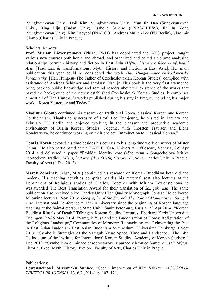(Sungkyunkwan Univ), Doil Kim (Sungkyunkwan Univ), Yun Jin Dan (Sungkyunkwan Univ), Xing Liju (Fudan Univ), Isabelle Sancho (CNRS-EHESS), Jin Ju Yong (Sungkyunkwan Univ), Kim Daeyeol (INALCO), Andreas Müller-Lee (FU Berlin), Vladimir Glomb (Charles Univ in Prague).

#### Scholars' Reports:

**Prof. Miriam Löwensteinová** (PhDr., Ph.D) has coordinated the AKS project, taught various new courses both home and abroad, and organized and edited a volume analysing relationships between history and fiction in East Asia *(Mýtus, historie a fikce ve východní Asii)* [Traditions & transformations: Myth, History and Fiction in East Asia]. Her main publication this year could be considered the work *Han Hǔng-su–otec československé koreanistiky.* [Han Hŭng-su–The Father of Czechoslovakian Korean Studies] compiled with assistance of Andreas Schirmer and Jarolsav Olša, jr. This book is the very first attempt to bring back to public knowledge and remind readers about the existence of the works that paved the background of the newly established Czechoslovak Korean Studies. It comprises almost all of Han Hŭng-su's works published during his stay in Prague, including his major work, "Korea Yesterday and Today."

**Vladimir Glomb** continued his research on traditional Korea, classical Korean and Korean Confucianism. Thanks to generosity of Prof. Lee Eun-jeung, he visited in January and February FU Berlin and enjoyed working in the pleasant and productive academic environment of Berlin Korean Studies. Together with Thorsten Traulsen and Elena Kondratyeva, he continued working on their project "Introduction to Classical Korean."

**Tomáš Horák** devoted his time besides his courses to his long-time work on works of Mister Chinul. He also participated at the EAKLE 2014, Universita Ca'Foscari, Venezia, 2-5 Apr 2014 and delivered a paper "Problém identity korejského zenu - Songčcholova kritika neortodoxní tradice. *Mýtus, historie, fikce (Myth, History, Fiction)*. Charles Univ in Prague, Faculty of Arts (9 Dec 2013).

**Marek Zemánek**, (Mgr., M.A.) continued his research on Korean Buddhism both old and modern. His teaching activities comprise besides his maternal seat also lectures at the Department of Religious studies of Charles. Together with Miriam Löwensteinová he was awarded The Best Translation Award for their translation of *Samguk yusa*. The same publication also received prize Charles Univ High Quality Monograph Contest. He delivered following lectures: Nov 2013: *Geography of the Sacred: The Role of Mountains in Samguk yusa.* International Conference "115th Anniversary since the beginning of Korean language teaching at the Saint-Petersburg State Univ" Sankt Peterburg, Russia; 23 Apr 2014: "Korean Buddhist Rituals of Death," Tübingen Korean Studies Lectures, Eberhard Karls Universität Tübingen; 22-25 May 2014: "Samguk Yusa and the Buddhisation of Korea: Refiguration of the Religious Landscape," Communities of Memory: Reimagining and Reinventing the Past in East Asian Buddhism. East Asian Buddhism Symposium, Universität Hamburg; 9 Sept 2013: "Symbolic Strategies of the Samguk Yusa: Space, Time and Landscape," The 14th Colloquium of the Institute for International Korean Studies, Academy of Korean Studies; 9 Dec 2013: "Symbolická eliminace časoprostorové separace v kronice Samguk jusa," Mýtus, historie, fikce (Myth, History, Fiction), Faculty of Arts, Charles Univ in Prague.

Publications:

**Löwensteinová, Miriam/Yu Sunbee**, "Scenic impromptu of Kim Sakkat," *MONGOLO-TIBETICA PRAGENSIA* '13, 6/2 (2014), p. 107–121.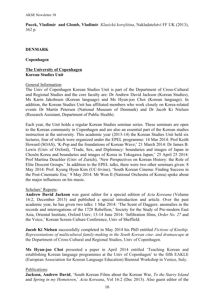**Pucek, Vladimír and Glomb, Vladimír**. *Klasická korejština*, Nakladatelství FF UK (2013), 362 p.

## **DENMARK**

#### **Copenhagen**

#### **The University of Copenhagen Korean Studies Unit**

#### General Information:

The Univ of Copenhagen Korean Studies Unit is part of the Department of Cross-Cultural and Regional Studies and the core faculty are: Dr Andrew David Jackson (Korean Studies), Ms Karin Jakobssen (Korean language) and Ms Hyun-joo Choi (Korean language). In addition, the Korean Studies Unit has affiliated members who work closely on Korea-related events Dr Martin Petersen (National Museum of Denmark) and Dr Jacob Ki Nielsen (Research Assistant, Department of Public Health).

Each year, the Unit holds a regular Korean Studies seminar series. These seminars are open to the Korean community in Copenhagen and are also an essential part of the Korean studies instruction at the university. This academic year (2013-14) the Korean Studies Unit held six lectures, four of which were organized under the EPEL programme: 14 Mar 2014: Prof Keith Howard (SOAS), 'K-Pop and the foundations of Korean Wave;' 21 March 2014: Dr James B. Lewis (Univ of Oxford), 'Trade, Sex, and Diplomacy: boundaries and images of Japan in Chosŏn Korea and boundaries and images of Korea in Tokugawa Japan;' 25 April 25 2014: Prof Martina Deuchler (Univ of Zurich), 'New Perspectives on Korean History: the Role of Elite Descent Groups.' In addition to the EPEL talks, there were two other seminars given: 8 May 2014: Prof. Kyung Hyun Kim (UC-Irvine), 'South Korean Cinema: Finding Success in the Post-Cinematic Era;' 9 May 2014: Mr Won Il (National Orchestra of Korea) spoke about the major influences on his music.

#### Scholars' Reports:

**Andrew David Jackson** was guest editor for a special edition of *Acta Koreana* (Volume 16:2, December 2013) and published a special introduction and article. Over the past academic year, he has given two talks: 1 Mar 2014: 'The Scent of Daggers: anomalies in the records and interrogations of the 1728 Rebellion,' Society for the Study of Pre-modern East Asia, Oriental Institute, Oxford Univ; 13-14 June 2014: 'Infiltration films, *Order No. 27* and the Voice,' Korean Screen Culture Conference, Univ of Sheffield.

**Jacob Ki Nielsen** successfully completed in May 2014 his PhD entitled *Fictions of Kinship. Representations of multicultural family-making in the South Korean cine- and dramascape* at the Department of Cross-Cultural and Regional Studies, Univ of Copenhagen.

**Ms Hyun-joo Choi** presented a paper in April 2014 entitled 'Teaching Korean and establishing Korean language programmes at the Univ of Copenhagen' to the fifth EAKLE (European Association for Korean Language Education) Biennial Workshop in Venice, Italy.

#### Publications:

**Jackson, Andrew David**, 'South Korean Films about the Korean War, *To the Starry Island* and *Spring in my Hometown*,' *Acta Koreana*, Vol 16:2 (Dec 2013). Also guest editor of the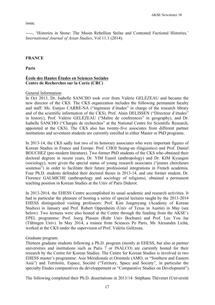#### issue.

-----, 'Histories in Stone: The Musin Rebellion Stelae and Contested Factional Histories,' *International Journal of Asian Studies*, Vol 11.1 (2014).

# **FRANCE**

**Paris**

## **École des Hautes Études en Sciences Sociales Centre de Recherches sur la Corée (CRC)**

## General Information:

In Oct 2013, Dr. Isabelle SANCHO took over from Valérie GELÉZEAU and became the new director of the CKS. The CKS organization includes the following permanent faculty and staff: Ms. Eunjoo CARRÉ-NA ("ingénieur d'études" in charge of the research library and of the scientific information of the CKS), Prof. Alain DELISSEN ("Directeur d'études" in history), Prof. Valérie GELÉZEAU ("Maître de conferences" in geography), and Dr. Isabelle SANCHO ("Chargée de recherches" at the National Centre for Scientific Research, appointed at the CKS). The CKS also has twenty-five associates from different partner institutions and seventeen students are currently enrolled in either Master or PhD programs.

In 2013-14, the CKS sadly lost two of its honorary associates who were important figures of Korean Studies in France and Europe: Prof. CHOI Seung-un (linguistics) and Prof. Daniel BOUCHEZ (pre-modern literature). Two former PhD students of the CKS who obtained their doctoral degrees in recent years, Dr. YIM Eunsil (anthropology) and Dr. KIM Kyungmi (sociology), were given the special status of young research associates ("jeunes chercheurs soutenus") in order to facilitate their future professional integrations in French academia. Four Ph.D. students defended their doctoral theses in 2013-14, and one former student, Dr. Florence GALMICHE (anthropology and sociology of religions), obtained a permanent teaching position in Korean Studies at the Univ of Paris Diderot.

In 2013-2014, the EHESS Centre accomplished its usual academic and research activities. It had in particular the pleasure of hosting a series of special lectures taught by the 2013-2014 EHESS distinguished visiting professors: Prof. Kim Jongmyung (Academy of Korean Studies) in January and Prof. Robert Oppenheim (Univ of Texas in Austin) in May (see below). Two lectures were also hosted at the Centre through the funding from the AKSE's EPEL programme: Prof. Joerg Plassen (Ruhr Univ Bochum) and Prof. Lee You Jae (Tübingen Univ). In May 2014, a trainee from Sciences Po Paris, Ms Alexandra Lichá, worked at the CKS under the supervision of Prof. Valérie Gelézeau.

#### Graduate program:

Thirteen graduate students following a Ph.D. program (mostly at EHESS, but also at partner universities and institutions such as Paris 7 or INALCO) are currently hosted for their research by the Centre for Korean Studies. The Centre for Korean Studies is involved in two EHESS master's programme: Asie Méridionale et Orientale (AMO, or "Southern and Eastern Asia") and Territoire, Espace, Société ("Territory, Space and Society", in particular the specialty Etudes comparatives du développement or "Comparative Studies on Development").

The following completed their Ph.D. dissertations in 2013/14: Stéphane Thévenet (Université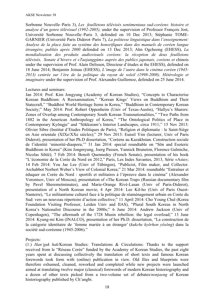Sorbonne Nouvelle–Paris 3), *Les feuilletons télévisés sentimentaux sud-coréens: histoire et analyse d'un genre télévisuel (1992-2005),* under the supervision of Professor François Jost, Université Sorbonne Nouvelle–Paris 3, defended on 10 Dec 2013; Stéphanie TOME-GARNIER (Université Paris Diderot–Paris 7), *La politesse linguistique dans l'enseignement: Analyse de la place faite au système des honorifiques dans des manuels de coréen langue étrangère, publiés après 2000* defended on 13 Dec 2013; Ahn Ogcheong (EHESS), *La mondialisation des produits audiovisuels coréens: la réception de deux feuilletons télévisés, Sonate d'hiver» et «Taejanggûm» auprès des publics japonais, coréens et* chinois under the supervision of Prof. Alain Delissen, Directeur d'études at the EHESS), defended on 18 June 2014; Benjamin Joinau (EHESS), *L'image de l'autre dans le cinéma coréen (1945- 2013) centrée sur l'ère de la politique du rayon de soleil (1998-2008). Hétérologie et imaginaire* under the supervision of Prof. Alexandre Guillemoz, defended on 25 June 2014.

#### Lectures and seminars:

Jan 2014: Prof. Kim Jongyung (Academy of Korean Studies), "Concepts to Characterise Korean Buddhism: A Reexamination," "Korean Kings' Views on Buddhism and Their Statecraft," "Buddhist World Heritage Items in Korea," "Buddhism in Contemporary Korean Society;" May 2014: Prof. Robert Oppenheim (Univ of Texas-Austin), "Hallyu's Sharers: Zones of Overlap among Contemporary South Korean Transnationalities," "Two Paths from 1882 in the American Anthropology of Korea," "The Ontological Politics of Place in Contemporary Kyŏngju" and "Sŏkkuram's Interior Landscapes, circa 1911;" 15 Nov 2013: Olivier Sibre (Institut d'Etudes Politiques de Paris), "Religion et diplomatie : le Saint-Siège en Asie orientale (XIXe/XXe siècles);" 29 Nov 2013: Eunsil Yim (lecturer, Univ of Paris Diderot), presentation of her Ph.D dissertation, "Coréens au Kazakhstan. Construction sociale de l'identité 'minorité-diaspora;'" 31 Jan 2014: special roundtable on "Sŏn and Esoteric Buddhism in Korea" (Kim Jongmyung, Joerg Passen, Yannick Bruneton, Florence Galmiche, Nicolas Sihlé); 7 Feb 2014: Benoît Quennedey (French Senate), presentation of his book "L'économie de la Corée du Nord en 2012," Paris, Les Indes Savantes, 2013, Série «Asie»; 14 Feb 2014: You Jae Lee (Univ of Tübingen), "Publicist, Film maker, and Collector. Archabbot Norbert Weber's View of Colonial Korea;" 21 Mar 2014: roundtable "Entraîner et éduquer en Corée du Nord : sportifs et militaires à l'épreuve dans le cinéma" (Alexander Vorontsov, Univ of Moscou), presentation of «The Korean Trap» (Russian documentary film by Pavel Sheremetminutes), and Marie-Orange Rivé-Lasan (Univ of Paris-Diderot), presentation of a North Korean movie; 4 Apr 2014: Lee Kil-ho (Univ of Paris Ouest-Nanterre), "Le militantisme culturel face à la politique de réaménagement urbain en Corée du Sud: vers un nouveau répertoire d'action collective;" 11 April 2014: Cho Young Chul (Korea Foundation Visiting Professor, Leiden Univ and IIAS), "Plural South Koreas in North Korea's Nationalist Discourse in the 2000s;" 6 June 2014: Andrew Jackson (Univ of Copenhagen), "The aftermath of the 1728 Musin rebellion: the legal overload;" 13 June 2014: Kyung-mi Kim (INALCO), presentation of her Ph.D. dissertation, "La construction de la catégorie identitaire de 'femme mariée à un étranger' (*kukche kyŏrhon yŏsŏng*) dans la société sud-coréenne (1945-2006)."

# Projects:

(1.) *Han'guk hak*/Korean Studies: Translations & Circulations: Thanks to the support received from le "Réseau Corée" funded by the Academy of Korean Studies, the past eight years spent at discussing collectively the translation of short texts and famous Korean forewords took form with (online) publication in view. Old files and blueprints were therefore exhumed, cleaned, reworked and completed while new projects were launched aimed at translating twelve major (classical) forewords of modern Korean historiography and a dozen of other texts picked from a two-volume set of debates/*nonjaeng* of Korean historiography published by Ch'angbi.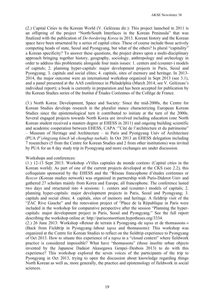(2.) Capital Cities in the Korean World (V. Gelézeau dir.): This project launched in 2011 is an offspring of the project "North/South Interfaces in the Korean Peninsula" that was finalized with the publication of *De-bordering Korea* in 2013. Korean history and the Korean space have been structured by a series of capital cities. These of course include those actively competing heads of state, Seoul and Pyongyang, but what of the others? Is plural "capitality" a Korean specificity? To answer these questions, the project draws upon a multi-disciplinary approach bringing together history, geography, sociology, anthropology and archeology in order to address this problematic alongside four main issues: 1. centers and (counter-) models of capitals; 2. planning hyper-capitals: major development projects in Paris, Seoul and Pyongyang; 3. capitals and social elites; 4. capitals, sites of memory and heritage. In 2013- 2014, the major outcome were an international workshop organized in Sept 2013 (see 3.1), and a panel presented at the AAS conference in Philadelphia (March 2014, see V. Gelézeau's individual report); a book is currently in preparation and has been accepted for publication by the Korean Studies series of the Institut d'Études Coréennes of the Collège de France.

(3.) North Korea: Development, Space and Society: Since the mid-2000s, the Centre for Korean Studies develops research in the pluralist stance characterizing European Korean Studies since the epistemological turn it contributed to initiate at the turn of the 2000s. Several engaged projects towards North Korea are involved including education (one North Korean student received a masters degree at EHESS in 2011) and ongoing building scientific and academic cooperation between EHESS, CAPA '"Cité de l'architecture et du patrimoine" – Museum of Heritage and Architecture – in Paris and Pyongyang Univ of Architecture (PUA *P'yŏngyang kŏnch'uk chonghap taehak*). In Oct 2013 an EHESS delegation including 7 researchers (5 from the Centre for Korean Studies and 2 from other institutions) was invited by PUA for an 8 day study trip in Pyongyang and more exchanges are under discussion.

#### Workshops and conferences:

(1.) 12-13 Sept 2013: Workshop «Villes capitales du monde coréen» (Capital cities in the Korean world): As part of one of the current projects developed at the CKS (see 2.2), this colloquium sponsored by the EHESS and the "Réseau francophone d'études coréennes or *Rescor* (Korean studies network) was organized in partnership with Paris-Diderot Univ and gathered 27 scholars mainly from Korea and Europe, all francophone. The conference lasted two days and structured into 4 sessions: 1. centers and (counter-) models of capitals; 2. planning hyper-capitals: major development projects in Paris, Seoul and Pyongyang; 3. capitals and social elites; 4. capitals, sites of memory and heritage. A fieldtrip visit of the "ZAC Rive Gauche" and the renovation project of "Place de la République in Paris were included in the workshop for comparative perspective after the session "Planning the hypercapitals: major development project in Paris, Seoul and Pyongyang." See the full report describing the workshop online at: http://parisconsortium.hypotheses.org/3334.

(2.) 26 June 2013: Workshop «Retour de terrain à Pyongyang–de *tapsa* et de thomassons » (Back from Fieldtrip in Pyongyang–labout *tapsa* and thomassons): This workshop was organized at the Centre for Korean Studies to reflect on the fieldtrip experience to Pyongyang of Oct 2013. How to situate this experience of a *tapsa* in a "closed context" where fieldwork practice is considered impossible? What have "thomassons" (those insolite urban objects invented by the Japanese Dadaist Akasegawa Genpei–Desbois 2013) to do with this experience? This workshop explored the seven voices of the participants of the trip to Pyongyang in Oct 2013, trying to open the discussion about knowledge regarding things North Korean as well as, more generally, the practice and epistemology of fieldwork in social sciences.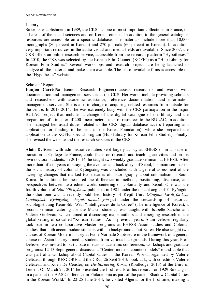#### Library:

Since its establishment in 1989, the CKS has one of most important collections in France, on all areas of the social sciences and on Korean cinema. In addition to the general catalogue, resources are accessible on a specific database. The materials include more than 10,000 monographs (80 percent in Korean) and 270 journals (60 percent in Korean). In addition, very important resources in the audio-visual and media fields are available. Since 2007, the CKS offers an online research service, accessible from the research platform "Hypotheses." In 2010, the CKS was selected by the Korean Film Council (KOFIC) as a "Hub-Library for Korean Film Studies." Several workshops and research projects are being launched to analyze all the material and make them available. The list of available films is accessible on the "Hypotheses" website.

## Scholars' Reports:

**Eunjoo Carré-Na** (senior Research Engineer) assists researchers and works with documentation and management services at the CKS. Her works include providing scholars and researchers with academic assistance, reference documentation, and information management services. She is also in charge of acquiring related resources from outside for the centre. In 2013-2014, she was extremely busy with the CKS participation in the major BULAC project that includes a change of the digital catalogue of the library and the preparation of a transfer of 200 linear meters stock of resources to the BULAC. In addition, she managed her usual duties related to the CKS digital database access (reporting and application for funding to be sent to the Korea Foundation), while she prepared the application to the KOFIC special program (Hub-Library for Korean Film Studies). Finally, she revised the website and the research services of the CKS.

**Alain Delissen**, with administrative duties kept largely at bay at EHESS or in a phase of transition at Collège de France, could focus on research and teaching activities and on his own doctoral students. In 2013-14, he taught two weekly graduate seminars at EHESS. After more than fifteen years of straying the avenues and back alleys of Seoul, his main seminar on the social history of colonial Kyŏngsŏng was concluded with a general assessment of the sweeping changes that marked two decades of historiography about colonialism in South Korea. In addition, he measured the difference in methods, positioning, discourse, and perspectives between two edited works centering on coloniality and Seoul. One was the fourth volume of *Sŏul 600 nyŏn sa* published in 1981 under the distant aegis of Yi Pyŏngdo; the other one was a recently published history of Keijō Univ (*Singmin kwŏllyŏk-kwa kŭndaejisik: Kyŏngsŏng cheguk taehak yŏn'gu*) under the stewardship of historical sociologist Jung Keun-Sik. With "Intelligences de la Corée" (The intelligence of Korea), a second seminar, catering for the Master students, was taught with Isabelle Sancho and Valérie Gelézeau, which aimed at discussing major authors and emerging research in the global setting of so-called "Korean studies". As in previous years, Alain Delissen regularly took part in two collaborative Master programs at EHESS–Asian studies and Colonial studies–that both accommodate students with no background about Korea. He also taught two classes of Korean Modern history at Ecole Normale Supérieure in the framework of a general course on Asian history aimed at students from various backgrounds. During this year, Prof. Delissen was invited to participate in various academic conferences, workshops and graduate programs: 12-13 Sept: general discussant, "Center, models, counter-models" round-table that was part of a workshop about Capital Cities in the Korean World, organized by Valérie Gelézeau through RESCORE and the CRC; 26 Sept 2013: book talk, with co-editors Valérie Gelézeau and Koen De Ceuster, on *De-Bordering Korea* (Routledge, 2013) at the Univ of Leiden; On March 25, 2014 he presented the first results of his research on 1929 Sindang-ni in a panel at the AAS Conference in Philadelphia as part of the panel "Shadow Capital Cities in the Korean World." In 22-25 June 2014, he visited Algeria for the first time, making a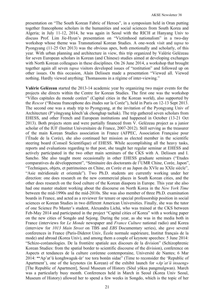presentation on "The South Korean Fabric of Heroes", in a symposium held in Oran putting together francophone scholars in the humanities and social sciences from South Korea and Algeria; in July 11-12, 2014, he was again in Seoul with the RICH at Hanyang Univ to discuss Prof. Lim Jie-Hyun's presentation on "Victimhood nationalism" in a two-day workshop whose theme was Transnational Korean Studies. A one-week visit and *tapsa* to Pyongyang (11-25 Oct 2013) was the obvious apex, both emotionally and scholarly, of this year. With urban planning and architecture in view, this trip organized by Valérie Gelézeau for seven European scholars in Korean (and Chinese) studies aimed at developing exchanges with North Korean colleagues in these disciplines. On 26 June 2014, a workshop that brought together again all seven *tapsa* visitors developed issues of "restitution" and followed up on other issues. On this occasion, Alain Delissen made a presentation "Viewed all. Viewed nothing. Hardly viewed anything: Thomassons in a régime of inter-viewing."

**Valérie Gelézeau** started the 2013-14 academic year by organizing two major events for the projects she directs within the Centre for Korean Studies. The first one was the workshop "Villes capitales du monde coréen" (Capital cities in the Korean world), also supported by the *Rescor* ("Réseau francophone des études sur la Corée"), held in Paris on 12-13 Sept 2013. The second one was a study trip to Pyongyang, at the invitation of the Pyongyang Univ of Architecture (P'yŏngyang kŏnch'uk chonghap taehak). The trip gathered seven scholars from EHESS, and other French and European institutions and happened in October (13-21 Oct 2013). Both projects stem and were partially financed from V. Gelézeau project as a junior scholar of the IUF (Institut Universitaire de France, 2007-2012). Still serving as the treasurer of the main Korean Studies association in France (AFPEC, Association Française pour l'Étude de la Corée), she also continued her mission as elected member in the scientific steering board (Conseil Scientifique) of EHESS. While accomplishing all the heavy tasks, reports and evaluations regarding to that post, she taught her regular seminar at EHESS and actively participated in the two other main seminars of the CKS with A. Delissen and I. Sancho. She also taught more occasionally in other EHESS graduate seminars ("Etudes comparatives du développement", "Séminaire des doctorants de l'UMR Chine, Corée, Japon", "Techniques, objets, et patrimoines en Chine, en Corée et au Japon du XVIe au XXIe siècle", "Asie méridionale et orientale"). Two Ph.D. students are currently working under her direction: one does research on the new commercial places in South Korean cities, and the other does research on the food culture of the Korean diaspora in Europe. This year she also had one master student working about the discourse on North Korea in the *New York Time* between the mid-1990s and the mid-2010s. She was also member of three Ph.D. examination boards in France, and acted as a reviewer for tenure or special professorship position in social sciences or Korean Studies in two different American Universities. Finally, she was the tutor of one Science Po Master's student, Alexandra Lichá, who was trained at the CKS between Feb-May 2014 and participated in the project "Capital cities of Korea" with a working paper on the new cities of Songdo and Sejong. During the year, as she was in the media both in France (interviews for *Le Monde* newspaper and *France Culture* national radio) and Korea (interview for *1013 Main Street* on TBS and *EBS* Documentary series), she gave several conferences in France (Paris-Diderot Univ, École normale supérieure, Institut français de la mode) and abroad (Korea Univ), and among them a couple of keynote speeches: 5 June 2014: "Schizo-coréanologies. De la frontière spatiale aux discours de la division" (Schizophrenic Korean Studies: from the spatial border to scientific discourse of the division), conference on Aspects et tendances de la culture coréenne contemporaine, Université de Nantes; 6 Mar 2014: **"'**Ap'at'ŭ konghwaguk-ŭr' toe tora bonŭn sidae" (Time to reconsider the 'Republic of Apartment'), one of the keynotes (in Korean) of the exhibit launch for «*Ap'at'ŭ insaeng»*  [The Republic of Apartment], Seoul Museum of History (Sŏul yŏksa pangmulgwan). March was a particularly busy month. Conferences held in March in Seoul (Korea Univ Seoul, Museum of History) allowed her to spend a few weeks in Songdo, which is the topic of her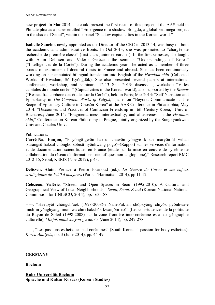new project. In Mar 2014, she could present the first result of this project at the AAS held in Philadelphia as a paper entitled "Emergence of a shadow: Songdo, a globalized mega-project in the shade of Seoul", within the panel "Shadow capital cities in the Korean world."

**Isabelle Sancho,** newly appointed as the Director of the CRC in 2013-14, was busy on both the academic and administrative fronts. In Oct 2013, she was promoted to "chargée de recherche de première classe" (first class junior researcher). In the first semester, she taught with Alain Delissen and Valérie Gelézeau the seminar "Understandings of Korea" ("Intelligences de la Corée"). During the academic year, she acted as a member of three boards of examiners of doctoral thesis in France and abroad. She has been continuously working on her annotated bilingual translation into English of the *Hwadam chip* (Collected Works of Hwadam, Sŏ Kyŏngdŏk). She also presented several papers at international conferences, workshop, and seminars: 12-13 Sept 2013: discussant, workshop "Villes capitales du monde coréen" (Capital cities in the Korean world), also supported by the *Rescor* ("Réseau francophone des études sur la Corée"), held in Paris; Mar 2014: "Self-Narration and Epistolarity in *The Complete Works of Yulgok*," panel on "Beyond Communication: The Scope of Epistolary Culture in Chosŏn Korea" at the AAS Conference in Philadelphia; May 2014: "Discourses and Practices of Confucian Friendship in 16th-Century Korea," Univ of Bucharest; June 2014: "Fragmentariness, intertextuality, and allusiveness in the *Hwadam chip*," Conference on Korean Philosophy in Prague, jointly organized by the Sungkyunkwan Univ and Charles Univ.

# Publications:

**Carré-Na, Eunjoo**, "Pi-yôngô-gwôn haksul chawôn yôngye kiban maryôn-ûl wihan p'ûrangsû haksul chôngbo sôbisû hyônhwang pogo)=(Rapport sur les services d'information et de documentation scientifiques en France (étude sur la mise en oeuvre de système de collaboration du réseau d'informations scientifiques non-anglophone)," Research report RMC 2012-15, Seoul, KERIS (Nov 2012), p 43.

**Delissen, Alain**, Préface à Pierre Journoud (éd.), *La Guerre de Corée et ses enjeux stratégiques de 1950 à nos jours* (Paris: l'Harmattan. 2014), pp 11-12.

**Gelézeau, Valérie**, "Streets and Open Spaces in Seoul (1995-2010): A Cultural and Geographical View of Local Neighborhoods," *Seoul, Seoul, Seoul* (Korean National National Commission for UNESCO, 2014), pp. 163-188.

-----, "Haetpyŏt chŏngch'aek (1998-2008)-i Nam-Puk'an chŏpkyŏng chiyŏk pyŏnhwa-e mich'in yŏnghyang–munhwa chiri hakchŏk kwanjŏm-esŏ" (Les conséquences de la politique du Rayon de Soleil (1998-2008) sur la zone frontière inter-coréenne–essai de géographie culturelle), *Minjok munhwa yŏn'gu* no. 63 (June 2014), pp. 247-278.

-----, "Les passions esthétiques sud-coréennes" (South Koreans' passion for body esthetics), *Korea Analysis*, no. 3 (June 2014), pp. 44-49.

# **GERMANY**

# **Bochum**

# **Ruhr-Universität Bochum Sprache und Kultur Koreas (Korean Studies)**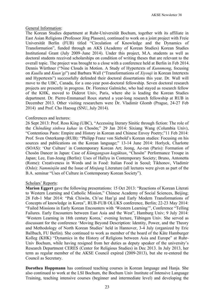## General Information:

The Korean Studies department at Ruhr-Universität Bochum, together with its affiliate in East Asian Religions (Professor Jörg Plassen), continued to work on a joint project with Freie Universität Berlin (FUB) titled "Circulation of Knowledge and the Dynamics of Transformation", funded through an AKS (Academy of Korean Studies) Korean Studies Institutional Grant (July 2009–June 2014). Under this project, M.A. students as well as doctoral students received scholarships on condition of writing theses that are relevant to the overall topic. The project was brought to a close with a conference held at Berlin in Feb 2014. Dennis Würthner ("Nine Clouds in Motion. A Study of Hypertexts of *Kunnmong*, focusing on *Kuullu* and *Kuun'gi*") and Barbara Wall ("Transformations of *Xiyouji* in Korean Intertexts and Hypertexts") successfully defended their doctoral dissertations this year. Dr. Wall will move to the UBC, Canada, for a one-year post-doctoral fellowship. Seven doctoral research projects are presently in progress. Dr. Florence Galmiche, who had stayed as research fellow of the KHK, moved to Diderot Univ, Paris, where she is leading the Korean Studies department. Dr. Pierre-Emmanuel Roux started a year-long research fellowship at RUB in December 2013. Other visiting researchers were Dr. Vladimir Glomb (Prague, 24-27 Feb 2014) and Prof. Cho Haesug (SNU, July 2014).

## Conferences and lectures:

26 Sept 2013: Prof. Ross King (UBC), "Accessing literary Sinitic through fiction: The role of the *Chŏndŭng sinhwa kuhae* in Chosŏn;" 29 Jan 2014: Sixiang Wang (Columbia Univ), "Contentious Pasts: Empire and History in Korean and Chinese Envoy Poetry;"11 Feb 2014: Prof. Sven Osterkamp (RUB): "Philipp Franz von Siebold's Korean studies: Focusing on his sources and publications on the Korean language;" 13-14 June 2014: Horlyck, Charlotte (SOAS): 'Our Culture' in Contemporary Korean Art; Jeong, Ae-ran (Paris): Formation of Chosŏn Dancer in Japan: Case of *Kŭmgangsan kagŭktan*, "Chosŏn" Performance Troupe in Japan; Lee, Eun-Jeung (Berlin): Uses of Hallyu in Contemporary Society; Bruno, Antonetta (Rome): Creativeness in Words and in Food: Italian Food in Seoul; Tikhonov, Vladimir (Oslo): *Namminjŏn* and the Issue of *Minjung* Literature (all lectures were given as part of the B.A. seminar "Uses of Culture in Contemporary Korean Society").

# Scholars' Reports:

**Marion Eggert** gave the following presentations: 15 Oct 2013: "Reactions of Korean Literati to Western Learning and Catholic Mission," Chinese Academy of Social Sciences, Beijing; 28 Feb-1 Mar 2014: "Pak Chiwŏn, Ch'oe Han'gi and Early Modern Transformations of Concepts of knowledge in Korea", RUB-FUB OLUKS conference, Berlin; 22-23 May 2014: "Failed Missions in Early Korean Encounters with 'Western Learning'", Conference "Telling Failures. Early Encounters between East Asia and the West", Hamburg Univ; 9 July 2014: 'Western Learning in 18th century Korea,' evening lecture, Tübingen Univ. She served as discussant for the conference 'Moving Beyond Description: Identity, Power, and the Theory and Methodology of North Korean Studies' held in Hannover, 3-4 July (organized by Eric Ballbach, FU Berlin). She continued to work as member of the board of the Käte Hamburger Kolleg (KHK) "Dynamics in the History of Religions between Asia and Europe" at Ruhr-Univ Bochum, while having resigned from her duties as deputy speaker of the university's Research Department CERES (Center for Religious Studies) in Dec 2013. In July 2013, her term as regular member of the AKSE Council expired (2009-2013), but she re-entered the Council as Secretary.

**Dorothea Hoppmann** has continued teaching courses in Korean language and Hanja. She also continued to work at the LSI Bochum, the Bochum Univ Institute of Intensive Language Training, teaching intensive courses (beginner and intermediate level) and developing the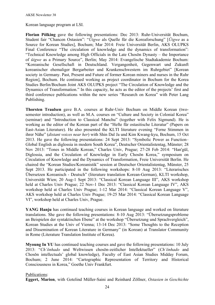Korean language program at LSI.

**Florian Pölking** gave the following presentations: Dec 2013: Ruhr-Universität Bochum, Student fair "Chancen Ostasien": "*Ŭigwe* als Quelle für die Koreaforschung" [*Ŭigwe* as a Source for Korean Studies], Bochum; Mar 2014: Freie Universität Berlin, AKS OLUPKS Final Conference "The circulation of knowledge and the dynamics of transformation": "Technical Knowledge among High Officials in the Late Chosŏn Dynasty – the Importance of *ŭigwe* as a Primary Source", Berlin; May 2014: Evangelische Stadtakademie Bochum: "Koreanische Gesellschaft in Deutschland. Vergangenheit, Gegenwart und Zukunft koreanischer ehemaliger Bergarbeiter und Krankenschwestern im Ruhrgebiet" [Korean society in Germany. Past, Present and Future of former Korean miners and nurses in the Ruhr Region], Bochum. He continued working as project coordinator in Bochum for the Korea Studies Berlin/Bochum Joint AKS OLUPKS project "The Circulation of Knowledge and the Dynamics of Transformation." In this capacity, he acts as the editor of the projects' first and third conference publications within the new series "Research on Korea" with Peter Lang Publishing.

**Thorsten Traulsen** gave B.A. courses at Ruhr-Univ Bochum on Middle Korean (twosemester introduction), as well as M.A. courses on "Culture and Society in Colonial Korea" (seminar) and "Introduction to Classical Manchu" (together with Felix Sigmund). He is working as the editor of the Korean part of the "Hefte für ostasitische Literatur" (Papers on East-Asian Literature). He also presented the KLTI literature evening "Ferne Stimmen in ihrer Nähe" (*distant voices near her*) with Shin Dal Ja und Kim Kwang-kyu, Bochum, 15 Oct 2013. He gave the following presentations: 24 Sept 2013: "Symbolic Power as Function– Global English as diglossia in modern South Korea", Deutscher Orientalistentag, Münster; 28 Nov 2013: "Tones in Middle Korean," Charles Univ, Prague; 27-28 Feb 2014: "Han'gŭl, Diglossia, and the Circulation of Knowledge in Early Chosŏn Korea," symposium on Circulation of Knowledge and the Dynamics of Transformation, Freie Universität Berlin. He chaired the "Korean Studies/Koreanistik" session at Deutscher Orientalistentag, Münster, 25 Sept 2013. He participated in the following workshops: 8-10 Aug 2013: "Literarisches Übersetzen Koreanisch - Deutsch" (literature translation Korean-German), KLTI workshop, Universität Wien; 20 Aug-1 Sept 2013: "Classical Korean Language III", AKS workshop held at Charles Univ Prague; 22 Nov-1 Dec 2013: "Classical Korean Language IV", AKS workshop held at Charles Univ Prague; 1-12 Mar 2014: "Classical Korean Language V", AKS workshop held at Charles Univ Prague; 19-25 Mar 2014: "Classical Korean Language VI", workshop held at Charles Univ, Prague.

**YANG Hanju** has continued teaching courses in Korean language and worked on literature translations. She gave the following presentations: 8-10 Aug 2013: "Übersetzungsprobleme an Beispielen der syntaktischen Ebene" at the workshop "Übersetzung und Sprachvergleich", Korean Studies at the Univ of Vienna; 13-14 Dec 2013: "Some Thoughts to the Reception and Dissemination of Korean Literature in Germany" (in Korean) at Translator Community in Rome (Literature Translation Institute of Korea).

**Myoung In YU** has continued teaching courses and gave the following presentations: 10 July 2013: "*Ch'ŏnhado* und Weltwissen chosŏn-zeitlicher Intellektueller" (*Ch'ŏnhado* and Chosŏn intellectuals' global knowledge), Faculty of East Asian Studies Midday Forum, Bochum; 2 June 2014: "Cartographic Representation of Territory and Historical Consciousness in Korea," Goethe Univ Frankfurt.

# Publications:

**Eggert, Marion**, with Gotelind Müller-Saini and Reinhard Zöllner, *Ostasien in Geschichte*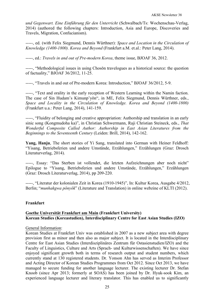*und Gegenwart. Eine Einführung für den Unterricht* (Schwalbach/Ts: Wochenschau-Verlag, 2014) (authored the following chapters: Introduction, Asia and Europe, Discoveries and Travels, Migration, Confucianism).

-----, ed. (with Felix Siegmund, Dennis Würthner): *Space and Location in the Circulation of Knowledge (1400-1800). Korea and Beyond* (Frankfurt a.M. et.al.: Peter Lang, 2014).

-----, ed.: *Travels in and out of Pre-modern Korea*, theme issue, BJOAF 36, 2012.

-----, "Methodological issues in using Chosŏn travelogues as a historical source: the question of factuality," BJOAF 36/2012, 11-25.

-----, "Travels in and out of Pre-modern Korea: Introduction," BJOAF 36/2012, 5-9.

-----, "Text and orality in the early reception of Western Learning within the Namin faction. The case of Sin Hudam's Kimunp'yŏn", in ME, Felix Siegmund, Dennis Würthner, eds., *Space and Locality in the Circulation of Knowledge. Korea and Beyond (1400-1800)* (Frankfurt u.a.: Peter Lang, 2014), 141-159.

-----, "Fluidity of belonging and creative appropriation: Authorship and translation in an early sinic song (Kongmudoha ka)", in Christian Schwermann, Raji Christian Steineck, eds., *That Wonderful Composite Called Author: Authorship in East Asian Literatures from the Beginnings to the Seventeenth Century* (Leiden: Brill, 2014), 142-162.

**Yang, Hanju**, The short stories of Yi Sang, translated into German with Heiner Feldhoff: "Yisang, Betriebsferien und andere Umstände, Erzählungen," Erzählungen (Graz: Drosch Literaturverlag, 2014).

-----, Essay: "Das Sterben ist vollendet, die letzten Aufzeichnungen aber noch nicht" Epilogue to "Yisang, Betriebsferien und andere Umstände, Erzählungen," Erzählungen (Graz: Drosch Literaturverlag, 2014), pp 209-220.

-----, "Literatur der kolonialen Zeit in Korea (1910-1945)", In: Kultur Korea, Ausgabe 4/2012, Berlin; "*munhakgwa pŏnyŏk*" (Literature and Translation) in online webzine of KLTI (2012).

# **Frankfurt**

# **Goethe Universität Frankfurt am Main (Frankfurt University) Korean Studies (Koreastudien), Interdisciplinary Centre for East Asian Studies (IZO)**

#### General Information:

Korean Studies at Frankfurt Univ was established in 2007 as a new subject area with degree provision first as minor and then also as major subject. It is located in the Interdisciplinary Centre for East Asian Studies (Interdisziplinäres Zentrum für Ostasienstudien/IZO) and the Faculty of Linguistics, Culture and Arts (Sprach- und Kulturwissenschaften). We have since enjoyed significant growth both in terms of research output and student numbers, which currently stand at 130 registered students. Dr. Yonson Ahn has served as Interim Professor and Acting Director of Korean Studies Programmes from Oct 2012. Since Oct 2013, we have managed to secure funding for another language lecturer. The existing lecturer Dr. Stefan Knoob (since Apr 2013; formerly at SOAS) has been joined by Dr. Hyuk-sook Kim, an experienced language lecturer and literary translator. This has enabled us to significantly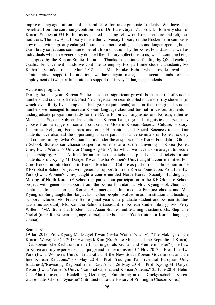improve language tuition and pastoral care for undergraduate students. We have also benefited from the continuing contribution of Dr. Hans-Jürgen Zaborowski, formerly chair of Korean Studies at FU Berlin, as associated teaching fellow on Korean culture and religious traditions. The new Asia Library inside the University Library on the Bockenheim campus is now open, with a greatly enlarged floor space, more reading spaces and longer opening hours. Our library collections continue to benefit from donations by the Korea Foundation as well as individuals who have generously donated their library collections to us, which continue being catalogued by the Korean Studies librarian. Thanks to continued funding by QSL Teaching Quality Enhancement Funds we continue to employ two part-time student assistants, Ms Katharia Schnöde (since Mar 2012) and Ms. Frauke Behre who provide invaluable administrative support. In addition, we have again managed to secure funds for the employment of two part-time tutors to support our first-year language students.

#### Academic program:

During the past year, Korean Studies has seen significant growth both in terms of student numbers and courses offered: First-Year registration near-doubled to almost fifty students (of which over thirty-five completed first year requirements) and on the strength of student numbers we managed to increase Korean language class and tutorial provision. Students in undergraduate programme study for the BA in Empirical Linguistics and Korean, either as Main or as Second Subject. In addition to Korean Language and Linguistics courses, they choose from a range of content courses on Modern Korean Society, Culture, History, Literature, Religion, Economics and other Humanities and Social Sciences topics. Our students have also had the opportunity to take part in distance seminars on Korean society and culture run by Ewha Woman's Univ under the auspices of the Korea Foundation Global e-School. Students can choose to spend a semester at a partner university in Korea (Korea Univ, Ewha Woman's Univ or ChungAng Univ), for which we have also managed to secure sponsorship by Asiana Airlines for an airline ticket scholarship and discount tickets for our students. Prof. Kyong-Mi Danyel Kwon (Ewha Women's Univ) taught a course entitled Pop Goes Korea: an Introduction to Korean Media and Culture as part of our participation in the KF Global e-School project with generous support from the Korea Foundation. Prof. Ihn-Hwi Park (Ewha Women's Univ) taught a course entitled North Korean Society: Building and Making of North Korea (E-School) as part of our participation in the KF Global e-School project with generous support from the Korea Foundation. Mrs. Kyung-sook Jhun also continued to teach on the Korean Beginners and Intermediate Practice classes and Mrs Kyungsuk Sung taught the Hanja class. Other people involved in administration and teaching support included Ms. Frauke Behre (final year undergraduate student and Korean Studies academic assistant), Ms. Katharia Schnöde (assistant for Korean Studies library), Ms. Perry Willems (MA Student at Modern East Asian Studies and teaching assistant), Ms. Stephanie Nickel (tutor for Korean language course) and Ms. Unsun Yoon (tutor for Korean language course).

#### Seminars:

19 Jan 2013: Prof. Kyong-Mi Danyel Kwon (Ewha Women's Univ), "The Makings of the Korean Wave; 24 Oct 2013: Hwangsik Kim (Ex-Prime Minister of the Republic of Korea), "Das koreanische Recht und meine Erfahrungen als Richter und Premierminister" (The Law in Korea and my experiences as a judge and prime minister); 04 Nov 2013: Prof. Ihn-Hwi Park (Ewha Women's Univ), "Trustpolitik of the New South Korean Government and the Inter-Korean Relations;" 08 May 2014: Prof. Youngmi Kim (Central European Univ Budapest),"Revisiting Regionalism in East Asia;" 26 May 2014: Prof. Kyong-Mi Danyel Kwon (Ewha Women's Univ): "National Cinema and Korean Auteurs;" 25 June 2014: Hehn-Chu Ahn (Universität Heidelberg, Germany), "Einführung in die Druckgeschichte Koreas während der Choson Dynastie" (Introduction to the History of Printing in Choson Korea).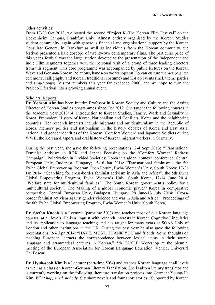#### Other activities:

From 17-20 Oct 2013, we hosted the second "Project K–The Korean Film Festival" on the Bockenheim Campus, Frankfurt Univ. Almost entirely organised by the Korean Studies student community, again with generous financial and organisational support by the Korean Consulate General in Frankfurt as well as individuals from the Korean community, the festival presented a kaleidoscope of twenty-two contemporary films. The particular pride of this year's festival was the large section devoted to the presentation of the Independent and Indie Film segments together with the personal visit of a group of three leading directors from this segment. This core programme was accompanied by public lectures on the Korean Wave and German-Korean Relations, hands-on workshops on Korean culture themes (e.g. tea ceremony, calligraphy and Korean traditional costume) and K-Pop events (incl. theme parties and sing-alongs). Visitor numbers this year far exceeded 2000, and we hope to turn the Project-K festival into a growing annual event.

## Scholars' Reports:

**Dr. Yonson Ahn** has been Interim Professor in Korean Society and Culture and the Acting Director of Korean Studies programmes since Oct 2012. She taught the following courses in the academic year 2013/14: Introduction to Korean Studies, Family, Work and Sexuality in Korea, Premodern History of Korea, Nationalism and Conflicts: Korea and the neighboring countries. Her research interests include migrants and multiculturalism in the Republic of Korea, memory politics and nationalism in the history debates of Korea and East Asia, national and gender identities of the Korean "Comfort Women" and Japanese Soldiers during WWII, the Korean diaspora and oral history of Korean migrant workers in Germany.

During the past year, she gave the following presentations: 2-4 Sept 2013: "Transnational Feminist Activism in ROK and Japan: Focusing on the 'Comfort Women' Redress Campaign", Polarization in Divided Societies: Korea in a global context" conference, Central European Univ, Budapest, Hungary; 15-16 Jan 2014: "Transnational feminism", the 5th Ewha Global Empowering Program Open Forum, Ewha Women's Univ, South Korea; 17-26 Jan 2014: "Searching for cross-border feminist activism in Asia and Africa", the 5th Ewha Global Empowering Program, Ewha Women's Univ, South Korea; 12-14 June 2014: "Welfare state for multicultural families?: The South Korean government's policy for a multicultural society", The Making of a global economic player? Korea in comparative perspective, Central European Univ, Budapest, Hungary; 29 June-13 July 2014: "Crossborder feminist activism against gender violence and war in Asia and Africa", Proceedings of the 6th Ewha Global Empowering Program, Ewha Women's Univ (South Korea).

**Dr. Stefan Knoob** is a Lecturer (part-time 50%) and teaches most of our Korean language courses, at all levels. He is a linguist with research interests in Korean Cognitive Linguistics and its application to language teaching and has taught for many years at SOAS Univ of London and other institutions in the UK. During the past year he also gave the following presentations: 2-4 Apr 2014: "HAVE, MUST, THANK YOU and friends. Some thoughts on teaching European learners the correspondence between lexical items in their source language and grammatical patterns in Korean," 5th EAKLE Workshop at the biennial meeting of the European Association for Korean Language Education, Venice, Università Ca' Foscari.

**Dr. Hyuk-sook Kim** is a Lecturer (part-time 50%) and teaches Korean language at all levels as well as a class on Korean-German Literary Translation. She is also a literary translator and is currently working on the following literature translation projects into German: Young-Ha Kim, *What happened, nobody*. Six short novels and four short stories. (Supported by Korean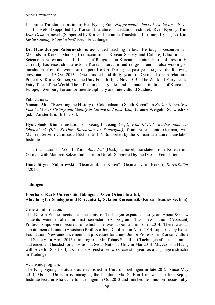Literature Translation Institute); Hee-Kyung Eun: *Happy people don't check the time*. Seven short novels. (Supported by Korean Literature Translation Institute); Ryeo-Ryeong Kim: *Wan-Deuk*. A novel. (Supported by Korean Literature Translation Institute); Kyung-Uk Kim: *Leslie Cheung ist gestorben?* Neun Erzählungen.

**Dr. Hans-Jürgen Zaborowski** is associated teaching fellow. He taught Resources and Methods in Korean Studies, Confucianism in Korean Society and Culture, Education and Science in Korea and The Influence of Religions on Korean Literature Past and Present. He currently has research interests in Korean literature and religions and is also working on translations from the works of the poet Ko Un. During the past year he gave the following presentations: 19 Oct 2013: "One hundred and thirty years of German-Korean relations", Project-K, Korea-Studien, Goethe Univ Frankfurt; 27 Nov 2013: "The World of Fairy Tales - Fairy Tales of the World. The diffusion of fairy tales and the parallel traditions of Korea and Europe," Weilburg Forum for Interdisciplinary and Intercultural Studies.

## Publications:

**Yonson Ahn**, "Rewriting the History of Colonialism in South Korea". In *Broken Narratives: Post Cold War History and Identity in Europe and East Asia*, Susanne Weigelin-Schwiedrzik (ed.), Amsterdam: Brill, 2014.

**Hyuk-Sook Kim**, translation of Seong-Il Jeong (Hg.), *Kim Ki-Duk. Barbar oder ein Sündenbock (Kim Ki-Duk. Barbarian or Scapegoat)*, from Korean into German, with Manfred Selzer (Darmstadt: Büchner 2013). Supported by the Korean Literature Translation Institute.

-----, translation of Won-Il Kim, *Abendrot* (Dusk), a novel, translated from Korean into German with Manfred Selzer, Iudicium Im Druck. Supported by the Daesan Foundation.

**Hans-Jürgen Zaborowski**, "Geomantik in Korea" (Geomancy in Korea), *KoreaKultur* 3/2013.

# **Tübingen**

# **Eberhard-Karls-Universität Tübingen, Asien-Orient-Institut, Abteilung für Sinologie und Koreanistik, Sektion Koreanistik (Korean Studies Section)**

General Information:

The Korean Studies section at the Univ of Tuebingen expanded last year. About 90 new students were enrolled in first semester BA program. Two new Junior (Assistant) Professorships were secured, of which one was appointed in April 2014. There was an appointment of Junior (Assistant) Professor Jong Chol An, in April 2014, supported by Korea Foundation. New announcement and procedure for a new Junior Professor in Korean Culture and Society for April 2015 is in progress. Mr. Tobias Scholl left Tuebingen after the contract had ended and headed for a position at Seoul National Univ in Mar 2014. Ms. Joo Hui Huang, will leave for Sheffield, UK in late August after two successful years as a language instructor in Tuebingen.

#### Academic program:

The King Sejong Institute was established in Univ of Tuebingen in late 2012. Since May 2013, Ms. Jee-Un Kim is managing the Institute. Ms. Su-Eun Kim was the first Sejong Institute lecturer who came to Tuebingen in Oct 2013 and finished her mission successfully.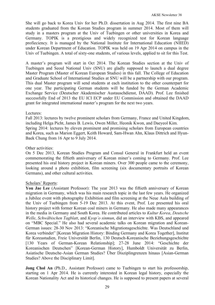She will go back to Korea Univ for her Ph.D. dissertation in Aug 2014. The first nine BA students graduated from the Korean Studies program in summer 2014. Most of them will study in a masters program at the Univ of Tuebingen or other universities in Korea and Germany. TOPIK is a prestigious and widely recognized test for Korean language profieciency. It is managed by the National Institute for International Education (NIIED) under Korean Department of Education. TOPIK was held on 19 Apr 2014 on campus in the Univ of Tuebingen. A total of sixty-one students, of various levels, applied to sit for this Test.

A master's program will start in Oct 2014. The Korean Studies section at the Univ of Tuebingen and Seoul National Univ (SNU) are gladly supposed to launch a dual degree Master Program (Master of Korean European Studies) in this fall. The College of Education and Graduate School of International Studies at SNU will be a partnership with our program. This dual Master program will send students at each institution to the other counterpart for one year. The participating German students will be funded by the German Academic Exchange Service (Deutscher Akademischer Austauschdienst, DAAD). Prof. Lee finished successfully End of 2013 the EU ICI ECP under EU Commission and obtained the DAAD grant for integrated international master's program for the next two years.

## Lectures:

Fall 2013: lectures by twelve prominent scholars from Germany, France and United Kingdom, including Helga Picht, James B. Lewis, Owen Miller, Heonik Kwon, and Daeyeol Kim. Spring 2014: lectures by eleven prominent and promising scholars from European countries and Korea, such as Marion Eggert, Keith Howard, Sam-Hwan Ahn, Klaus Dittrich and Hyun-Baek Chung from 16 Apr to 9 July 2014.

## Other activities:

On 5 Dec 2013, Korean Studies Program and Consul General in Frankfurt held an event commemorating the fiftieth anniversary of Korean miner's coming to Germany. Prof. Lee presented his oral history project in Korean miners. Over 300 people came to the ceremony, looking around a photo exhibition, film screening (six documentary portraits of Korean Germans), and other cultural activities.

#### Scholars' Reports:

**You Jae Lee** (Assistant Professor): The year 2013 was the fiftieth anniversary of Korean migration in Germany, which was his main research topic in the last few years. He organized a Jubilee event with photography Exhibition and film screening at the Neue Aula building of the Univ of Tuebingen from 5-19 Dec 2013. At this event, Prof. Lee presented his oral history project with former Korean coal miners in Germany. He also made many appearances in the media in Germany and South Korea. He contributed articles to *Kultur Korea*, *Deutsche Welle*, *Schwäbischen Tagblatt*, and *Kyop'o sinmun*, did an interview with KBS, and appeared on "MBC Special." He also had several academic talks on Korean migration and Korean-German issues: 28-30 Nov 2013: "Koreanische Migrationsgeschichte. Was Deutschland und Korea verbindet" [Korean Migration History: Binding Germany and Korea Together], Institut für Koreastudien, Freie Universität Berlin, 130 Deutsch-Koreanische Beziehungsgeschichte [130 Years of German-Korean Relationship]; 27-28 June 2014: "Geschichte der Koreanischen Deutschen" [Korean-German History], Humboldt Universität zu Berlin, Asiatische Deutsche-Asian German Studies? Über Disziplingrenzen hinaus [Asian-German Studies? Above the Disciplinary Limit].

**Jong Chol An** (Ph.D., Assistant Professor) came to Tuebingen to start his professorship, starting on 1 Apr 2014. He is currently interested in Korean legal history, especially the Korean Nationality Act and its historical changes. He is supposed to present papers at several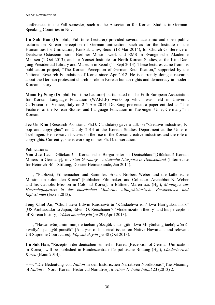conferences in the Fall semester, such as the Association for Korean Studies in German-Speaking Countries in Nov.

**Un Suk Han** (Dr. phil., Full-time Lecturer) provided several academic and open public lectures on Korean perception of German unification, such as for the Institute of the Humanities for Unification, Konkuk Univ, Seoul (18 Mar 2014), for Church Conference of Deutsche Ostasienmission, Berliner Missionswerk und EMS in Evangelische Akademie Meissen (1 Oct 2013), and for Yonsei Institute for North Korean Studies, at the Kim Daejung Presidential Library and Museum in Seoul (11 Sept 2013). These lectures came from his publication project, "The Korean Perception of German Reunification," supported by the National Research Foundation of Korea since Apr 2012. He is currently doing a research about the German protestant church's role in Korean human rights and democracy in modern Korean history.

**Moon Ey Song** (Dr. phil, Full-time Lecturer) participated in The Fifth European Association for Korean Language Education (WAKLE) workshop which was held in Universit Ca'Foscari of Venice, Italy on 2-5 Apr 2014. Dr. Song presented a paper entitled as "The Features of the Korean Studies and Language Education in Tuebingen Univ, Germany" in Korean.

**Jee-Un Kim** (Research Assistant, Ph.D. Candidate) gave a talk on "Creative industries, Kpop and copyrights" on 2 July 2014 at the Korean Studies Department at the Univ of Tuebingen. Her research focuses on the rise of the Korean creative industries and the role of copyrights. Currently, she is working on her Ph. D. dissertation.

# Publications:

**You Jae Lee**, "Glückauf! - Koreanische Bergarbeiter in Deutschland"[Glückauf!-Korean Miners in Germany], in *Asian Germany - Asiatische Diaspora in Deutschland* (Internetsite for Heinrich-Böll-Stiftung, Dossier Heimatkunde, Jan 2014).

-----, "Publizist, Filmemacher und Sammler. Erzabt Norbert Weber und die katholische Mission im kolonialen Korea" [Publisher, Filmmaker, and Collector: Archabbot N. Weber and his Catholic Mission in Colonial Korea], in Büttner, Maren u.a. (Hg.), *Montagen zur Herrschaftspraxis in der klassischen Moderne. Alltagshistorische Perspektiven und Reflexionen* (Essen 2013).

**Jong Chol An**, "Chuil taesa Edwin Raishawŏ ŭi 'Kŭndaehwa ron' kwa Han'guksa insik" [US Ambassador to Japan, Edwin O. Reischauer's 'Modernization theory' and his perception of Korean history]. *Yŏksa munche yŏn'gu* 29 (April 2013).

-----, "Hawai wŏnjumin munje e taehan yŏksajŏk chaengjŏm kwa Mi yŏnbang taebŏpwŏn ŭi kwallyŏn pangyŏl punsŏk" [Analysis of historical issues on Native Hawaiians and relevant US Supreme Court cases]. *Pŏp sahak yŏn'gu* 48 (Oct 2013).

**Un Suk Han**, "Rezeption der deutschen Einheit in Korea"[Reception of German Unification in Korea], will be published in Bundeszentrale für politische Bildung (Hg.), *Länderbericht Korea* (Bonn 2014).

-----, "Die Bedeutung von *Nation* in den historischen Narrativen Nordkoreas"[The Meaning of *Nation* in North Korean Historical Narrative], *Berliner Debatte Initial* 23 (2013) 2.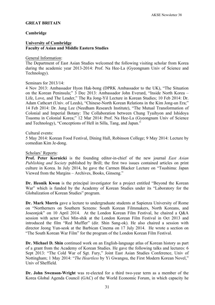#### **GREAT BRITAIN**

#### **Cambridge**

#### **University of Cambridge Faculty of Asian and Middle Eastern Studies**

#### General Information:

The Department of East Asian Studies welcomed the following visiting scholar from Korea during the academic year 2013-2014: Prof. Na Hee-La (Gyeongnam Univ of Science and Technology).

Seminars for 2013/14:

4 Nov 2013: Ambassador Hyon Hak-bong (DPRK Ambassador to the UK), "The Situation on the Korean Peninsula;" 3 Dec 2013: Ambassador John Everard, "Inside North Korea – Life, Love, and The Leader," The Ra Jong-Yil Lecture in Korean Studies; 10 Feb 2014: Dr. Adam Cathcart (Univ. of Leeds), "Chinese-North Korean Relations in the Kim Jong-un Era;" 14 Feb 2014: Dr. Jung Lee (Needham Research Institute), "The Mutual Transformation of Colonial and Imperial Botany: The Collaboration between Chung Tyaihyon and Ishidoya Tsuomu in Colonial Korea;" 12 Mar 2014: Prof. Na Hee-La (Gyeongnam Univ of Science and Technology), "Conceptions of Hell in Silla, Tang, and Japan."

#### Cultural events:

5 May 2014: Korean Food Festival, Dining Hall, Robinson College; 9 May 2014: Lecture by comedian Kim Je-dong.

#### Scholars' Reports:

**Prof. Peter Kornicki** is the founding editor-in-chief of the new journal *East Asian Publishing and Society* published by Brill; the first two issues contained articles on print culture in Korea. In July 2014, he gave the Carmen Blacker Lecture on "Tsushima: Japan Viewed from the Margins – Archives, Books, Ginseng."

**Dr. Heonik Kwon** is the principal investigator for a project entitled "Beyond the Korean War" which is funded by the Academy of Korean Studies under its "Laboratory for the Globalization of Korean Studies" program.

**Dr. Mark Morris** gave a lecture to undergraduate students at Sapienza University of Rome on "Northerners on Southern Screens: South Korean Filmmakers, North Koreans, and Joseonjok" on 10 April 2014. At the London Korean Film Festival, he chaired a Q&A session with actor Choi Min-shik at the London Korean Film Festival in Oct 2013 and introduced the film "Red Muffler" (dir. Shin Sang-ok). He also chaired a session with director Jeong Yun-seok at the Barbican Cinema on 17 July 2014. He wrote a section on "The South Korean War Film" for the program of the London Korean Film Festival.

**Dr. Michael D. Shin** continued work on an English-language atlas of Korean history as part of a grant from the Academy of Korean Studies. He gave the following talks and lectures: 6 Sept 2013: "The Cold War of Sgt. Fury," Joint East Asian Studies Conference, Univ of Nottingham; 1 May 2014: "*The Heartless* by Yi Gwangsu, the First Modern Korean Novel," Univ of Sheffield.

**Dr. John Swenson-Wright** was re-elected for a third two-year term as a member of the Korea Global Agenda Council (GAC) of the World Economic Forum, in which capacity he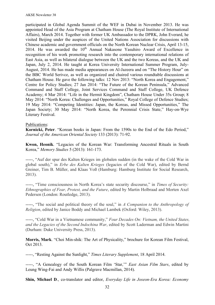participated in Global Agenda Summit of the WEF in Dubai in November 2013. He was appointed Head of the Asia Program at Chatham House (The Royal Institute of International Affairs), March 2014. Together with former UK Ambassador to the DPRK, John Everard, he visited Beijing under the auspices of the United Nations Association for discussions with Chinese academic and government officials on the North Korean Nuclear Crisis, April 13-15, 2014. He was awarded the  $10<sup>th</sup>$  Annual Nakasone Yasuhiro Award of Excellence in recognition of his work promoting research into the contemporary international relations of East Asia, as well as bilateral dialogue between the UK and the two Koreas, and the UK and Japan, July 2, 2014. He taught at Korea University International Summer Program, July-August, 2014. He has made media appearances on Al-Jazeera and on "The History Hour" on the BBC World Serivce, as well as organized and chaired various roundtable discussions at Chatham House. He gave the following talks: 12 Nov 2013: "North Korea and Engagement," Centre for Policy Studies; 27 Jan 2014: "The Future of the Korean Peninsula," Advanced Command and Staff College, Joint Services Command and Staff College, UK Defence Academy; 4 Mar 2014: "Life in the Hermit Kingdom", Chatham House Under 35s Group; 8 May 2014: "North Korea: Challenges and Opportunities," Royal College of Defence Studies; 19 May 2014: "Competing Identities: Japan, the Koreas, and Missed Opportunities," The Japan Society; 30 May 2014: "North Korea, the Perennial Crisis State," Hay-on-Wye Literary Festival.

## Publications:

**Kornicki, Peter**. "Korean books in Japan: From the 1590s to the End of the Edo Period," *Journal of the American Oriental Society* 133 (2013): 71-92.

**Kwon, Heonik**. "Legacies of the Korean War: Transforming Ancestral Rituals in South Korea," *Memory Studies* 5 (2013): 161-173.

-----, "Auf der spur des Kalten Krieges im globalen sudden (in the wake of the Cold War in global south)," in *Erbe des Kalten Krieges* (legacies of the Cold War), edited by Bernd Greiner, Tim B. Müller, and Klaas Voß (Hamburg: Hamburg Institute for Social Research, 2013).

-----, "Time consciousness in North Korea's state security discourse," in *Times of Security: Ethnographies of Fear, Protest, and the Future*, edited by Martin Holbraad and Morten Axel Pedersen (London: Routledge, 2013).

-----, "The social and political theory of the soul," in *A Companion to the Anthropology of Religion*, edited by Janice Boddy and Michael Lambek (Oxford: Wiley, 2013).

-----, "Cold War in a Vietnamese community," *Four Decades On: Vietnam, the United States, and the Legacies of the Second Indochina War*, edited by Scott Laderman and Edwin Martini (Durham: Duke University Press, 2013).

**Morris, Mark**. "Choi Min-shik: The Art of Physicality," brochure for Korean Film Festival, Oct 2013.

-----, "Resting Against the Sunlight," *Times Literary Supplement*, 18 April 2014.

-----, "A Genealogy of the South Korean Film 'Star,'" *East Asian Film Stars*, edited by Leung Wing-Fai and Andy Willis (Palgrave Macmillan, 2014).

**Shin, Michael D**., co-translator and editor, *Everyday Life in Joseon-Era Korea: Economy*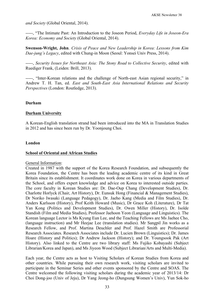*and Society* (Global Oriental, 2014).

-----, "The Intimate Past: An Introduction to the Joseon Period, *Everyday Life in Joseon-Era Korea: Economy and Society* (Global Oriental, 2014).

**Swenson-Wright, John**. *Crisis of Peace and New Leadership in Korea: Lessons from Kim Dae-jung's Legacy*, edited with Chung-in Moon (Seoul: Yonsei Univ Press, 2014).

-----, *Security Issues for Northeast Asia: The Stony Road to Collective Security*, edited with Ruediger Frank, (Leiden: Brill, 2013).

-----, "Inter-Korean relations and the challenge of North-east Asian regional security," in Andrew T. H. Tan, ed. *East and South-East Asia International Relations and Security Perspectives* (London: Routledge, 2013).

#### **Durham**

## **Durham University**

A Korean-English translation strand had been introduced into the MA in Translation Studies in 2012 and has since been run by Dr. Yoonjoung Choi.

## **London**

#### **School of Oriental and African Studies**

#### General Information:

Created in 1987 with the support of the Korea Research Foundation, and subsequently the Korea Foundation, the Centre has been the leading academic centre of its kind in Great Britain since its establishment. It coordinates work done on Korea in various departments of the School, and offers expert knowledge and advice on Korea to interested outside parties. The core faculty in Korean Studies are: Dr. Dae-Oup Chang (Development Studies), Dr. Charlotte Horlyck (Chair, Art History), Dr. Eunsuk Hong (Financial & Management Studies), Dr Noriko Iwasaki (Language Pedagogy), Dr. Jaeho Kang (Media and Film Studies), Dr. Anders Karlsson (History), Prof Keith Howard (Music), Dr Grace Koh (Literature), Dr Tat Yan Kong (Politics and Development Studies), Dr. Owen Miller (History), Dr. Isolde Standish (Film and Media Studies), Professor Jaehoon Yeon (Language and Linguistics). The Korean language Lector is Ms Kyung Eun Lee, and the Teaching Fellows are Ms Jaehee Cho, (language instruction) and Mr Heejae Lee (translation studies). Mr Sangpil Jin works as a Research Fellow, and Prof. Martina Deuchler and Prof. Hazel Smith are Professorial Research Associates. Research Associates include Dr. Lucien Brown (Linguistics); Dr. James Hoare (History and Politics); Dr Andrew Jackson (History); and Dr. Youngsook Pak (Art History). Also linked to the Centre are two library staff: Ms Fujiko Kobayashi (Subject Librarian/Korea and Japan), and Ms Jiyeon Wood (Subject Librarian/Arts and Multi-Media).

Each year, the Centre acts as host to Visiting Scholars of Korean Studies from Korea and other countries. While pursuing their own research work, visiting scholars are invited to participate in the Seminar Series and other events sponsored by the Centre and SOAS. The Centre welcomed the following visiting scholars during the academic year of 2013/14: Dr Choi Dong-joo (Univ of Jeju), Dr Yang Jeong-ho (Dungsung Women's Univ), Yun Sok-ho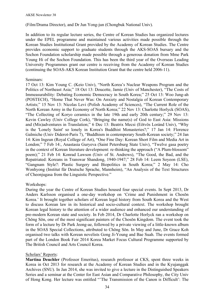(Film/Drama Director), and Dr Jun Yong-jun (Chongbuk National Univ).

In addition to its regular lecture series, the Centre of Korean Studies has organized lectures under the EPEL programme and maintained various activities made possible through the Korean Studies Institutional Grant provided by the Academy of Korean Studies. The Centre provides economic support to graduate students through the AKS-SOAS bursary and the Sochon Foundation scholarship made possible through a generous donation from Mme Park Young Hi of the Sochon Foundation. This has been the third year of the Overseas Leading University Programmes grant our centre is receiving from the Academy of Korean Studies (continuing the SOAS-AKS Korean Institution Grant that the centre held 2006-11).

## Seminars:

17 Oct 13: Kim Young C. (Keio Univ), "North Korea's Nuclear Weapons Program and the Politics of Northeast Asia;" 18 Oct 13: Doucette, Jamie (Univ of Manchester), "The Costs of Immeasurability: Debating Economic Democracy in South Korea;" 25 Oct 13: Woo Jung-ah (POSTECH), "Home That Never Was: On Anxiety and Nostalgia of Korean Contemporary Artists;" 15 Nov 13: Nicolas Levi (Polish Academy of Sciences), "The Current Role of the North Korean Army in the Economy of North Korea;" 22 Nov 13: Charlotte Horlyck (SOAS), "The Collecting of Koryo ceramics in the late 19th and early 20th century;" 29 Nov 13: Kevin Cawley (Univ College Cork), "Bringing the name(s) of God to East Asia: Missions and (Mis)adventures in Translation;" 6 Dec 13: Beatrix Mecsi (Eötvös Loránd Univ), "Why is the 'Lonely Saint' so lonely in Korea's Buddhist Monasteries?;" 17 Jan 14: Florence Galmiche (Univ Diderot-Paris 7), "Buddhism in contemporary South-Korean society;" 24 Jan 14: Kim Ingeun (Royal College of Art), "One Fine Day: Korean Short Film and Media Art in London;" 7 Feb 14:, Anastasia Guryeva (Saint Petersburg State Univ), "Twelve gasa poetry in the context of Korean literature development: re-thinking the approach ("A Plum-blossom" poem);" 21 Feb 14: Konrad Lawson (Univ of St. Andrews), "The Good, the Bad, and the Repatriated: Koreans in Transwar Shandong, 1940-1947;" 28 Feb 14: Leem Soyeon (LSE), "Gangnam Style?: Plastic Surgery and Biopolitics in South Korea;" 2 May 14: Cho Wonhyong (Institut für Deutsche Sprache, Mannheim), "An Analysis of the Text Structures of Cheonjugasa from the Linguistic Perspective*.*"

# Workshops:

During the year the Centre of Korean Studies housed four special events. In Sept 2013, Dr Anders Karlsson organised a one-day workshop on 'Crime and Punishment in Chosŏn Korea.' It brought together scholars of Korean legal history from South Korea and the West to discuss Korean law in its historical and socio-cultural context. The workshop brought Korean legal history to the attention of a wider audience and enhanced our understanding of pre-modern Korean state and society. In Feb 2014, Dr Charlotte Horlyck ran a workshop on Chǒng Sǒn, one of the most significant painters of the Chosǒn Kingdom. The event took the form of a lecture by Dr Park Jeong-ae, followed by a private viewing of a little-known album in the SOAS Special Collections, attributed to Chǒng Sǒn. In May and June, Dr Grace Koh organised two talks with Korean novelists Gong Ji-Young and Bae Suah. The events formed part of the London Book Fair 2014 Korea Market Focus Cultural Programme supported by The British Council and Arts Council Korea.

#### Scholars' Reports:

**Martina Deuchler** (Professor Emeritus), research professor at CKS, spent three weeks in Korea in Oct 2013 for research at the Academy of Korean Studies and in the Kyujanggak Archives (SNU). In Jan 2014, she was invited to give a lecture in the Distinguished Speakers Series and a seminar at the Center for East Asian and Comparative Philosophy, the City Univ of Hong Kong. Her lecture was entitled "'The Transmission of the Canon is Difficult': The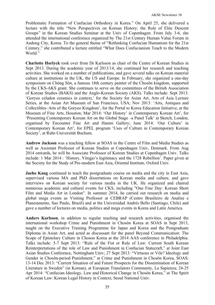Problematic Formation of Confucian Orthodoxy in Korea." On April 25, she delivered a lecture with the title "New Perspectives on Korean History: the Role of Elite Descent Groups" in the Korean Studies Seminar at the Univ of Copenhagen. From July 3-6, she attended the international conference organized by The 21st Century Human Value Forum in Andong City, Korea. To the general theme of "Rethinking Confucian Humanism for the 21st Century," she contributed a lecture entitled "What Does Confucianism Teach to the Modern World."

**Charlotte Horlyck** took over from Dr Karlsson as chair of the Centre of Korean Studies in Sept 2013. During the academic year of 2013/14, she continued her research and teaching activities. She worked on a number of publications, and gave several talks on Korean material culture at institutions in the UK, the US and Europe. In February, she organized a one-day symposium on Chŏng Sŏn, a famous 18th century painter of the Chosŏn kingdom, supported by the CKS-AKS grant. She continues to serve on the committees of the British Association of Korean Studies (BAKS) and the Anglo-Korean Society (AKS). Talks include: Sept 2013: 'Goryeo celadon ceramics in context,' for the Society for Asian Art, Arts of Asia Lecture Series, at the Asian Art Museum of San Francisco, USA; Nov 2013: 'Arts, Antiques and Collectibles–Arts of the Goryeo Kingdom', for the Portal to Korea Education Initiative, at the Museum of Fine Arts, Houston; Mar 2014: 'Our History' in Contemporary Korean Art', for 'Presenting Contemporary Korean Art on the Global Stage –a Panel Talk' at Sketch, London, organised by Encounter Fine Art and Hanmi Gallery; June 2014: 'Our Culture' in Contemporary Korean Art', for EPEL program 'Uses of Culture in Contemporary Korean Society', at Ruhr-Universität Bochum.

**Andrew Jackson** was a teaching fellow at SOAS in the Centre of Film and Media Studies as well as Assistant Professor of Korean Studies at Copenhagen Univ, Denmark. From Aug 2014 onwards, he will be Associate Professor of Korean Studies at Copenhagen Univ. Talks include: 1 Mar 2014 : 'History, Yŏngjo's legitimacy and the 1728 Rebellion'. Paper given at the Society for the Study of Pre-modern East Asia, Oriental Institute, Oxford Univ.

**Jaeho Kang** continued to teach the postgraduate course on media and the city in East Asia, supervised various MA and PhD dissertations on Korean media and culture, and gave interviews on Korean society for various media in the UK. He organized and chaired numerous academic and cultural events for CKS, including "One Fine Day: Korean Short Film and Media Art in London". In summer 2014, he carried out research on media and global mega events as Visiting Professor at CEBRAP (Centro Brasileiro de Analise e Planeiamento, Sao Paulo, Brazil) and at the Universidad Andrés Bello (Santiago, Chile) and gave a number of lectures on media, politics and mega events in Korea and Latin America.

**Anders Karlsson**, in addition to regular teaching and research activities, organised the international workshop Crime and Punishment in Chosŏn Korea at SOAS in Sept 2013, taught on the Executive Training Programme for Japan and Korea and the Postgraduate Diploma in Asian Art, and acted as discussant for the panel Beyond Communication: The Scope of Epistolary Culture in Choson Korea at the 2014 AAS conference in Philadelphia. Talks include: 5-7 Sept 2013: "Rule of the Fist or Rule of Law: Current South Korean Reinterpretations of the role of Law and Punishment in Confucian Statecraft," at Joint East Asian Studies Conference, Nottingham Univ; 27 Sept 2013: "Virtuous or Vile? Ideology and Gender in Chosŏn-period Punishment," at Crime and Punishment in Chosŏn Korea, SOAS; 13-14 Dec 2013: "Current Situation of and Future Prospects for the Dissemination of Korean Literature in Sweden" (in Korean), at European Translators Community, La Sapienza; 24-25 Apr 2014: "Confucian Ideology, Law and Historical Change in Chosŏn Korea," at The Spirit of Korean Law: Korean Legal History in Context, Seoul National Univ.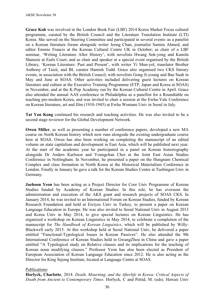**Grace Koh** was involved in the London Book Fair (LBF) 2014 Korea Market Focus cultural programme, curated by the British Council and the Literature Translation Institute (LTI) Korea. She served on the Steering Committee and participated in several events–as a panelist on a Korean literature forum alongside writer Jeong Chan, journalist Samira Ahmed, and editor Emmie Francis at the Korean Cultural Centre UK in October; as chair of a LBF seminar, 'Writing Literature After History', with novelists Hwang Sok-yong and Kamila Shamsie at Earls Court; and as chair and speaker at a special event organised by the British Library, 'Korean Literature: Past and Present', with writer Yi Mun-yol, translator Brother Anthony of Taizé, and BL curator Hamish Todd. Grace also organised two CKS literary events, in association with the British Council, with novelists Gong Ji-young and Bae Suah in May and June at SOAS. Other activities included delivering guest lectures on Korean literature and culture at the Executive Training Programme (ETP, Japan and Korea at SOAS) in November, and at the K-Pop Academy run by the Korean Cultural Centre in April. Grace also attended the annual AAS conference in Philadelphia as a panellist for a Roundtable on teaching pre-modern Korea, and was invited to chair a session at the Ewha-Yale Conference on Korean literature, art and film (1910-1945) at Ewha Womans Univ in Seoul in July.

**Tat Yan Kong** continued his research and teaching activities. He was also invited to be a second stage reviewer for the Global Development Network.

**Owen Miller**, as well as presenting a number of conference papers, developed a new MA course on North Korean history which now runs alongside the existing undergraduate course here at SOAS. Owen has also been working on completing the manuscript of an edited volume on state capitalism and development in East Asia, which will be published next year. At the start of the academic year he participated in a panel on Korean historiography alongside Dr Anders Karlsson and Youngchan Choi at the Joint East Asian Studies Conference in Nottingham. In November, he presented a paper on the Hungnam Chemical Complex and class formation in North Korea at the Historical Materialism Conference in London. Finally in January he gave a talk for the Korean Studies Centre at Tuebingen Univ in Germany.

**Jaehoon Yeon** has been acting as a Project Director for Core Univ Programme of Korean Studies funded by Academy of Korean Studies. In this role, he has overseen the administration and execution of the AKS grant and research projects of SOAS CKS. In January 2014, he was invited to an International Forum on Korean Studies, funded by Korean Research Foundation and held at Erciyes Univ in Turkey, to present a paper on Korean Language Education in Europe. He was also invited to Seoul National Univ in August 2013 and Korea Univ in May 2014, to give special lectures on Korean Linguistics. He has organized a workshop on Korean Linguistics in May 2014, to celebrate a completion of the manuscript for *The Handbook of Korean Linguistics*, which will be published by Willy-Blackwell early 2015. At this workshop held at Seoul National Univ, he delivered a paper entitled "Functional-Typological Issues in Korean Passives". He also attended the 9th International Conference of Korean Studies held in GwangZhou in China and gave a paper entitled "A Typological study on Relative clauses and its implications for the teaching of Korean noun modifying clauses." Professor Yeon has also been elected as President of European Association of Korean Language Education since 2012. He is also acting as the Director for King Sejong Institute, located at Language Centre at SOAS.

#### Publications:

**Horlyck, Charlotte**, 2014. *Death, Mourning, and the Afterlife in Korea: Critical Aspects of Death from Ancient to Contemporary Times*. Horlyck, C and Pettid, M. (eds). Hawaii Univ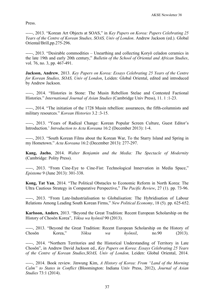Press.

-----, 2013. "Korean Art Objects at SOAS," in *Key Papers on Korea: Papers Celebrating 25 Years of the Centre of Korean Studies, SOAS, Univ of London*. Andrew Jackson (ed.). Global Oriental/Brill,pp.275-296.

-----, 2013. "Desirable commodities – Unearthing and collecting Koryŏ celadon ceramics in the late 19th and early 20th century," *Bulletin of the School of Oriental and African Studies*, vol. 76, no. 3, pp. 467-491.

**Jackson, Andrew**, 2013. *Key Papers on Korea: Essays Celebrating 25 Years of the Centre for Korean Studies, SOAS, Univ of London*, Leiden: Global Oriental, edited and introduced by Andrew Jackson.

-----, 2014. "Histories in Stone: The Musin Rebellion Stelae and Contested Factional Histories." *International Journal of Asian Studies* (Cambridge Univ Press), 11. 1 :1-23.

-----, 2014. "The initiation of the 1728 Musin rebellion: assurances, the fifth-columnists and military resources." *Korean Histories* 3.2 :3-15.

-----, 2013. "Years of Radical Change: Korean Popular Screen Culture, Guest Editor's Introduction.' *Introduction to Acta Koreana* 16:2 (December 2013): 1-4.

-----, 2013. "South Korean Films about the Korean War, To the Starry Island and Spring in my Hometown." *Acta Koreana* 16:2 (December 2013): 277-297.

**Kang, Jaeho**, 2014. *Walter Benjamin and the Media: The Spectacle of Modernity* (Cambridge: Polity Press).

-----, 2013. "From Cine-Eye to Cine-Fist: Technological Innervation in Media Space," *Episteme* 9 (June 2013): 301-338.

**Kong, Tat Yan**, 2014. "The Political Obstacles to Economic Reform in North Korea: The Ultra Cautious Strategy in Comparative Perspective," *The Pacific Review*, 27 (1). pp. 73-96.

-----, 2013. "From Late-Industrialisation to Globalisation: The Hybridisation of Labour Relations Among Leading South Korean Firms," *New Political Economy*, 18 (5). pp. 625-652.

**Karlsson, Anders**, 2013. "Beyond the Great Tradition: Recent European Scholarship on the History of Chosŏn Korea", *Yŏksa wa hyŏnsil* 90 (2013).

-----, 2013. "Beyond the Great Tradition: Recent European Scholarship on the History of Chosŏn Korea," *Yŏksa wa hyŏnsil*, no.90 (2013).

-----, 2014. "Northern Territories and the Historical Understanding of Territory in Late Chosŏn", in Andrew David Jackson ed., *Key Papers on Korea: Essays Celebrating 25 Years of the Centre of Korean Studies,SOAS, Univ of London,* Leiden: Global Oriental, 2014.

-----, 2014. Book review. Jinwung Kim, *A History of Korea: From "Land of the Morning Calm" to States in Conflict* (Bloomington: Indiana Univ Press, 2012), *Journal of Asian Studies* 73:1 (2014).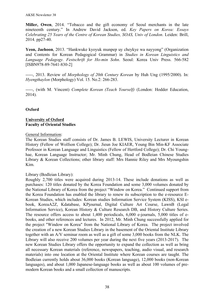**Miller, Owen**, 2014. "Tobacco and the gift economy of Seoul merchants in the late nineteenth century." In Andrew David Jackson, ed. *Key Papers on Korea: Essays Celebrating 25 Years of the Centre of Korean Studies, SOAS, Univ of London*. Leiden: Brill, 2014. pp27-40.

**Yeon, Jaehoon**, 2013. "Hankwuke kyoyuk munpep uy cheykye wa nayyong" (Organization and Contents for Korean Pedagogical Grammar) in *Studies in Korean Linguistics and Language Pedagogy. Festschrift for Ho-min Sohn*. Seoul: Korea Univ Press. 566-582 [ISBN978-89-7641-830-2]

-----, 2013. Review of *Morphology of 20th Century Korean* by Huh Ung (1995/2000). In: *Hyengthaylon* (Morphology) Vol. 15. No.2: 266-283.

-----, (with M. Vincent) *Complete Korean (Teach Yourself)* (London: Hodder Education, 2014).

#### **Oxford**

#### **University of Oxford Faculty of Oriental Studies**

#### General Information:

The Korean Studies staff consists of Dr. James B. LEWIS, University Lecturer in Korean History (Fellow of Wolfson College); Dr. Jieun Joe KIAER, Young Bin Min-KF Associate Professor in Korean Language and Linguistics (Fellow of Hertford College); Dr. Chi Younghae, Korean Language Instructor; Mr. Minh Chung, Head of Bodleian Chinese Studies Library & Korean Collections; other library staff: Mrs Hannie Riley and Mrs Myoungshin Kim.

#### Library (Bodleian Library):

Roughly 2,700 titles were acquired during 2013-14. These include donations as well as purchases: 120 titles donated by the Korea Foundation and some 3,000 volumes donated by the National Library of Korea from the project "Window on Korea." Continued support from the Korea Foundation has enabled the library to renew its subscription to the e-resource E-Korean Studies, which includes: Korean studies Information Service System (KISS), KSI ebook, KoreaA2Z, Kdatabase, KPjournal, Digital Culture Art Course, LawnB (Legal Information Service), Korean History & Culture Research DB, and History Culture Series. The resource offers access to about 1,400 periodicals, 6,000 e-journals, 5,000 titles of ebooks, and other references and lectures. In 2012, Mr. Minh Chung successfully applied for the project "Window on Korea" from the National Library of Korea. The project involved the creation of a new Korean Studies Library in the basement of the Oriental Institute Library together with an A/V seminar room as well as a gift of some 3,000 books from the NLK. The Library will also receive 200 volumes per year during the next five years (2013-2017). The new Korean Studies Library offers the opportunity to expand the collection as well as bring all necessary Korean materials (reference, newspapers, teaching, audio visual, and research materials) into one location at the Oriental Institute where Korean courses are taught. The Bodleian currently holds about 36,000 books (Korean language), 12,000 books (non-Korean languages), and about 1,000 Japanese-language books as well as about 100 volumes of premodern Korean books and a small collection of manuscripts.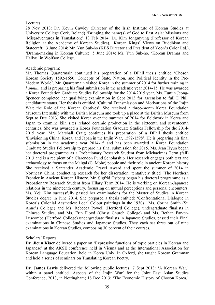#### Lectures:

28 Nov 2013: Dr. Kevin Cawley (Director of the Irish Institute of Korean Studies at University College Cork, Ireland) 'Bringing the name(s) of God to East Asia: Missions and (Mis)adventures in Translation;' 13 Feb 2014: Dr. Kim Jongmyung (Professor of Korean Religion at the Academy of Korean Studies), 'Korean Kings' Views on Buddhism and Statecraft;' 3 June 2014: Mr. Yun Suk-ho (KBS Director and President of Yoon's Color Ltd.), 'Drama-making in Korean Culture;' 5 June 2014: Mr. Yun Suk-ho, 'Korean Dramas and Hallyu' in Wolfson College.

#### Academic program:

Mr. Thomas Quartermain continued his preparation of a DPhil thesis entitled 'Choson Korean Society 1592-1650: Concepts of State, Nation, and Political Identity in the Pre-Modern World'. Mr. Quartermain visited Korea in the summer of 2014 for further training in *hanmun* and is preparing his final submission in the academic year 2014-15. He was awarded a Korea Foundation Graduate Studies Fellowship for the 2014-2015 year. Ms. Eunjin Jeong-Spencer completed her qualifying examination in Sept 2013 for ascension to full D.Phil. candidature status. Her thesis is entitled 'Cultural Transmission and Motivations of the Imjin War: the Role of the Korean Captives'. She received a three-month Korea Foundation Museum Internship with the British Museum and took up a place at the British Museum from Sept to Dec 2013. She visited Korea over the summer of 2014 for fieldwork in Korea and Japan to examine kiln sites related ceramic production in the sixteenth and seventeenth centuries. She was awarded a Korea Foundation Graduate Studies Fellowship for the 2014- 2015 year. Mr. Marshall Craig continues his preparation of a DPhil thesis entitled 'Envisioning China, Korea, and Japan in the Imjin War, 1592-1598'. He is preparing his final submission in the academic year 2014-15 and has been awarded a Korea Foundation Graduate Studies Fellowship to prepare his final submission for 2015. Ms. Jean Hyun began her doctoral programme as a Probationary Research Student from Michaelmas Term (fall) 2013 and is a recipient of a Clarendon Fund Scholarship. Her research engages both text and archaeology to focus on the Malgal (C. Mohe) people and their role in ancient Korean history. She received a Santander Academic Travel Award and spent the summer of 2014 in Northeast China conducting research for her dissertation, tentatively titled "The Northern Frontier in Ancient Korean History. Mr. Sigfrid Östberg began his doctoral programme as a Probationary Research Student from Hilary Term 2014. He is working on Korean-Japanese relations in the nineteenth century, focussing on mutual perceptions and personal encounters. Ms. Yeji Kim successfully passed her examinations for the Master of Studies in Korean Studies degree in June 2014. She prepared a thesis entitled: 'Confrontational Dialogue in Korea's Colonial Aesthetics: Local Colour paintings in the 1930s.' Ms. Corina Smith (St. Anne's College) and Ms. Rebecca Powell (Hertford College), undergraduate finalists in Chinese Studies, and Ms. Erin Floyd (Christ Church College) and Ms. Bethan Parker-Luscombe (Hertford College) undergraduate finalists in Japanese Studies, passed their Final examinations in Chinese Studies and Japanese Studies. They each sat three out of nine examinations in Korean Studies, composing 30 percent of their courses.

#### Scholars' Reports:

**Dr. Jieun Kiaer** delivered a paper on 'Expressive functions of topic particles in Korean and Japanese' at the AKSE conference held in Vienna and at the International Association for Korean Language Education, held in Korea Univ. In Oxford, she taught Korean Grammar and held a series of seminars on Translating Korean Poetry.

**Dr. James Lewis** delivered the following public lectures: 7 Sept 2013: 'A Korean War,' within a panel entitled 'Aspects of the Imjin War' for the Joint East Asian Studies Conference, 2013, in Nottingham; 18 Dec 2013: 'The Economic History of Chosŏn Korea,'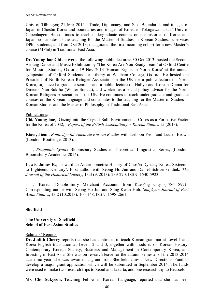Univ of Tübingen; 21 Mar 2014: 'Trade, Diplomacy, and Sex: Boundaries and images of Japan in Chosŏn Korea and boundaries and images of Korea in Tokugawa Japan,' Univ of Copenhagen. He continues to teach undergraduate courses on the histories of Korea and Japan, contributes to the teaching for the Master of Studies in Korean Studies, supervises DPhil students, and from Oct 2013, inaugurated the first incoming cohort for a new Master's course (MPhil) in Traditional East Asia.

**Dr. Young-hae Chi** delivered the following public lectures: 30 Oct 2013: hosted the Second Arirang Dance and Music Exhibition by 'The Korea Are You Ready Team' at Oxford Centre for Mission Studies, Oxford; 19 Nov 2013 'Human Rights in North Korea' at the annual symposium of Oxford Students for Liberty at Wadham College, Oxford. He hosted the President of North Korean Refugee Association in the UK for a public lecture on North Korea, organized a graduate seminar and a public lecture on Hallyu and Korean Drama for Director Yun Suk-ho (Winter Sonata), and worked as a social policy advisor for the North Korean Refugees Association in the UK. He continues to teach undergraduate and graduate courses on the Korean language and contributes to the teaching for the Master of Studies in Korean Studies and the Master of Philosophy in Traditional East Asia.

## Publications:

**Chi, Young-hae**, 'Gazing into the Crystal Ball: Environmental Crises as a Formative Factor for the Korea of 2032,' *Papers of the British Association for Korean Studies* 15 (2013).

**Kiaer, Jieun**, *Routledge Intermediate Korean Reader* with Jaehoon Yeon and Lucien Brown (London: Routledge, 2013).

-----, *Pragmatic Syntax* Bloomsbury Studies in Theoretical Linguistics Series, (London: Bloomsbury Academic, 2014).

Lewis, James B., 'Toward an Anthropometric History of Chosŏn Dynasty Korea, Sixteenth to Eighteenth Century'. First author with Seong Ho Jun and Daniel Schwenkendiek. *The Journal of the Historical Society*, 13:3 (9. 2013): 239-270. ISSN: 1540-5923.

-----, 'Korean Double-Entry Merchant Accounts from Kaesŏng City (1786-1892)'. Corresponding author with Seong-Ho Jun and Sung-Kwan Huh. *Sungkyun Journal of East Asian Studies*, 13:2 (10.2013): 105-148. ISSN: 1598-2661.

#### **Sheffield**

#### **The University of Sheffield School of East Asian Studies**

#### Scholars' Reports:

**Dr. Judith Cherry** reports that she has continued to teach Korean grammar at Level 1 and Korea-English translation at Levels 2 and 3, together with modules on Korean History, Contemporary Korean Society, Business and Management in Contemporary Korea, and Investing in East Asia. She was on research leave for the autumn semester of the 2013-2014 academic year; she was awarded a grant from Sheffield Univ's New Directions Fund to develop a major grant application which will be submitted in September 2014. The funds were used to make two research trips to Seoul and Jakarta, and one research trip to Brussels.

**Ms. Cho Sukyeon,** Teaching Fellow in Korean Language, reported that she has been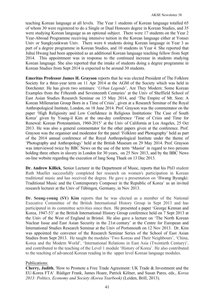teaching Korean language at all levels. The Year 1 students of Korean language totalled 65 of whom 30 were registered to do a Single or Dual Honours degree in Korean Studies, and 35 were studying Korean language as an optional subject. There were 17 students on the Year 2 Year-Abroad Programme receiving intensive tuition in the Korean language either at Yonsei Univ or Sungkyunkwan Univ. There were 6 students doing Korean language in Year 3 as part of a degree programme in Korean Studies, and 10 students in Year 4. She reported that Juhui Hwang had been appointed as an additional Korean language teaching fellow from Sept 2014. This appointment was in response to the continued increase in students studying Korean language. She also reported that the intake of students doing a degree programme in Korean Studies from Sept 2014 is expected to be around 30 students.

**Emeritus Professor James H. Grayson** reports that he was elected President of The Folklore Society for a three-year term on 11 Apr 2014 at the AGM of the Society which was held in Dorchester. He has given two seminars: '*Urban Legends*', Are They Modern: Some Korean Examples from the Fifteenth and Seventeenth Centuries' at the Univ of Sheffield School of East Asian Studies Research Seminar on 15 May 2014, and 'The Empire of Mt. Sion: A Korean Millenarian Group Born in a Time of Crisis', given at a Research Seminar of the Royal Anthropological Institute, London, on 18 June 2014. Prof. Grayson was the commentator on the paper 'High Religiosity and Low Confidence in Religious Institutions: The Case of South Korea' given by Young-il Kim at the one-day conference 'Time of Crisis and Time for Renewal: Korean Protestantism, 1960-2015' at the Univ of California at Los Angeles, 25 Oct 2013. He was also a general commentator for the other papers given at the conference. Prof. Grayson was the organiser and moderator for the panel 'Folklore and Photography' held as part of the 2014 annual conference of the Royal Anthropological Institute under the theme of 'Photography and Anthropology' held at the British Museum on 29 May 2014. Prof. Grayson was interviewed twice by BBC News on the use of the term 'Maoist' in regard to two persons holding three others in slavery in London for 30 years, on 25 Nov 2013, and by the BBC News on-line website regarding the execution of Jang Song Thaek on 13 Dec 2013.

**Dr. Andrew Killick**, Senior Lecturer in the Department of Music, reports that his PhD student Ruth Mueller successfully completed her research on women's participation in Korean traditional music and has received the degree. He gave a presentation on 'Hwang Byungki: Traditional Music and the Contemporary Composer in the Republic of Korea' as an invited research lecturer at the Univ of Tübingen, Germany, in Nov 2013.

**Dr. Seung-young (SY) Kim** reports that he was elected as a member of the National Executive Committee of the British International History Group in Sept 2013 and has participated in its committee activities since then. He presented a paper 'George Kennan and Korea, 1947-53' at the British International History Group conference held on 7 Sept 2013 at the Univ of the West of England in Bristol. He also gave a lecture on 'The North Korean Nuclear Issue and East Asian Security in the 21st century' at the Centre for European and International Studies Research Seminar at the Univ of Portsmouth on 12 Nov 2013. Dr. Kim was appointed the convenor of the Research Seminar Series of the School of East Asian Studies from Sept 2013. He taught the modules 'Two Koreas and Their Neighbours', 'China, Korea and the Modern World', 'International Relations in East Asia (Twentieth Century)', and contributed to the teaching of the Level 1 module 'History of Korea'. He also contributed to the teaching of advanced Korean reading in the upper level Korean language modules.

#### Publications:

**Cherry, Judith**, 'How to Promote a Free Trade Agreement: UK Trade & Investment and the EU-Korea FTA' Rüdiger Frank, James Hoare, Patrick Kölner, and Susan Pares, eds., *Korea 2013: Politics, Economy and Society (Korea Yearbook)* (Leiden, Brill, 2013).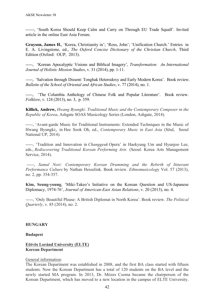------, 'South Korea Should Keep Calm and Carry on Through EU Trade Squall'. Invited article in the online East Asia Forum.

**Grayson, James H.**, 'Korea, Christianity in'; 'Ross, John'; 'Unification Church.' Entries in E. A. Livingstone, ed., *The Oxford Concise Dictionary of the Christian Church*, Third Edition (Oxford: OUP, 2013).

-----, 'Korean Apocalyptic Visions and Biblical Imagery', *Transformation: An International Journal of Holistic Mission Studies*, v. 31 (2014), pp. 1-11.

-----, 'Salvation through Dissent: Tonghak Heterodoxy and Early Modern Korea'. Book review. *Bulletin of the School of Oriental and African Studies*, v. 77 (2014), no. 1.

-----, 'The Columbia Anthology of Chinese Folk and Popular Literature'. Book review. *Folklore*, v. 124 (2013), no. 3, p. 359.

**Killick, Andrew,** *Hwang Byungki: Traditional Music and the Contemporary Composer in the Republic of Korea*, Ashgate SOAS Musicology Series (London, Ashgate, 2014).

-----, 'Avant-garde Music for Traditional Instruments: Extended Techniques in the Music of Hwang Byungki;, in Hee Sook Oh, ed., *Contemporary Music in East Asia* (Sŏul, Seoul National UP, 2014).

-----, 'Tradition and Innovation in *Changgeuk* Opera' in Haekyung Um and Hyunjoo Lee, eds., *Rediscovering Traditional Korean Performing Arts* (Seoul: Korea Arts Management Service, 2014).

-----, *Samul Nori: Contemporary Korean Drumming and the Rebirth of Itinerant Performance Culture* by Nathan Hesselink. Book review. *Ethnomusicolog*y Vol. 57 (2013), no. 2, pp. 354-357.

**Kim, Seung-young**, 'Miki-Takeo's Initiative on the Korean Question and US-Japanese Diplomacy, 1974-76', *Journal of American-East Asian Relations*, v. 20 (2013), no. 4.

-----, 'Only Beautiful Please: A British Diplomat in North Korea'. Book review. *The Political Quarterly*, v. 85 (2014), no. 2.

#### **HUNGARY**

#### **Budapest**

#### **Eötvös Loránd University (ELTE) Korean Department**

#### General information:

The Korean Department was established in 2008, and the first BA class started with fifteen students. Now the Korean Department has a total of 120 students on the BA level and the newly started MA program. In 2013, Dr. Mózes Csoma became the chairperson of the Korean Department, which has moved to a new location in the campus of ELTE University.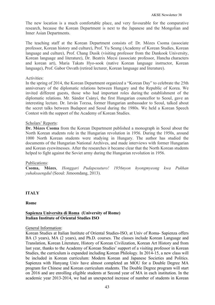The new location is a much comfortable place, and very favourable for the comparative research, because the Korean Department is next to the Japanese and the Mongolian and Inner Asian Departments.

The teaching staff at the Korean Department consists of: Dr. Mózes Csoma (associate professor, Korean history and culture), Prof. Yu Seung (Academy of Korean Studies, Korean language and culture), Prof. Chang Dusik (visiting professor from the Dankook University, Korean language and literature), Dr. Beatrix Mecsi (associate professor, Hancha characters and korean art), Maria Takats Hyo-sook (native Korean language instructor, Korean language), Prof. Gabor Osvath (retired lecturer, Korean language and literature).

## Activities:

In the spring of 2014, the Korean Department organized a "Korean Day" to celebrate the 25th anniversary of the diplomatic relations between Hungary and the Republic of Korea. We invited different guests, those who had important roles during the establishment of the diplomatic relations. Mr. Sándor Csányi, the first Hungarian councellor to Seoul, gave an interesting lecture. Dr. István Torzsa, former Hungarian ambassador to Seoul, talked about the secret talks between Budapest and Seoul during the 1980s. We held a Korean Speech Contest with the support of the Academy of Korean Studies.

## Scholars' Reports:

**Dr. Mózes Csoma** from the Korean Department published a monograph in Seoul about the North Korean students role in the Hungarian revolution in 1956. During the 1950s, around 1000 North Korean students were studying in Hungary. The author has studied the documents of the Hungarian National Archives, and made interviews with former Hungarian and Korean eyewitnesses. After the researches it became clear that the North Korean students helped to fight against the Soviet army during the Hungarian revolution in 1956.

#### Publications:

**Csoma, Mózes**, *Honggari Pudapesuturo! 1956nyon hyongmyeong kwa Pukhan yuhaksaengdul* (Seoul: Jimoondang, 2013).

# **ITALY**

**Rome**

## **Sapienza Universita di Roma (University of Rome) Italian Institute of Oriental Studies ISO**

#### General Information:

Korean Studies at Italian Institute of Oriental Studies-ISO, at Univ of Roma- Sapienza offers BA (3 years), MA (2 years), and Ph.D. courses. The classes include Korean Language and Translation, Korean Literature, History of Korean Civilization, Korean Art History and from last year, thanks to the Academy of Korean Studies' support of a visiting professor in Korean Studies, the curriculum is expanded including Korean Philology. In 2014-15, a new class will be included in Korean curriculum: Modern Korean and Japanese Societies and Politics. Sapienza with Hanyang Univ have almost completed an MOU for a Double Degree MA program for Chinese and Korean curriculum students. The Double Degree program will start on 2016 and are enrolling eligible students at Second year of MA in each institution. In the academic year 2013-2014, we had an unexpected increase of number of students in Korean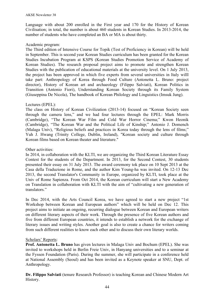Language with about 200 enrolled in the First year and 170 for the History of Korean Civilisation; in total, the number is about 460 students in Korean Studies. In 2013-2014, the number of students who have completed an BA or MA is about thirty.

## Academic program:

The Third edition of Intensive Course for Topik (Test of Proficiency in Korean) will be held in September. This is second year Korean Studies curriculum has been granted for the Korean Studies Incubation Program at KSPS (Korean Studies Promotion Service of Academy of Korean Studies). The research proposal project aims to promote and strengthen Korean Studies with the publication of educational materials at the university level. On 1 July 2013, the project has been approved in which five experts from several universities in Italy willl take part: Anthropology of Korea through Food Culture (Antonetta L. Bruno: project director), History of Korean art and archaeology (Filippo Salviati), Korean Politics in Transition (Antonio Fiori), Understanding Korean Society through its Family System (Giuseppina De Nicola), The handbook of Korean Philology and Linguistics (Imsuk Jung).

# Lectures (EPEL):

The class on History of Korean Civilization (2013-14) focused on "Korean Society seen through the camera lens," and we had four lectures through the EPEL: Mark Morris (Cambridge), "The Korean War Film and Cold War Horror Cinema;" Kwon Heonik (Cambridge), "The Korean War and the Political Life of Kinship;" Antonio J. Domench (Malaga Univ), "Religious beliefs and practices in Korea today through the lens of films;" Yuh J. Hwang (Trinity College, Dublin, Ireland), "Korean society and culture through Korean films based on Korean theater and literature."

## Other activities:

In 2014, in collaboration with the KLTI, we are organizing the Third Korean Literature Essay Contest for the students of the Department. In 2013, for the Second Contest, 30 students presented their essay on 31 July 2013. The award ceremony tok place on 10 Sept 2013 at the Casa della Traduzione in Rome, and the author Kim Young-ha was invited. On 12-13 Dec 2013, the second Translator's Community in Europe, organized by KLTI, took place at the Univ of Rome Sapienza. From Oct 2014, the Korean curriculum will start a New Academy on Translation in collaboration with KLTI with the aim of "cultivating a new generation of translators."

In Dec 2014, with the Arts Council Korea, we have agreed to start a new project "1st Workshop between Korean and European authors" which will be held on Dec 12. This project aims to initiate an ongoing, recurring dialogue between Korean and European writers on different literary aspects of their work. Through the presence of five Korean authors and five from different European countries, it intends to establish a network for the exchange of literary issues and writing styles. Another goal is also to create a chance for writers coming from such different realities to know each other and to discuss their own literary worlds.

# Scholars' Reports:

**Prof. Antonetta L. Bruno** has given lectures in Malaga Univ and Bochum (EPEL). She was invited to workshops held in Berlin Freie Univ, in Hanyang universities and to a seminar at the Fyssen Foundation (Paris). During the summer, she will participate in a conference held at National Assembly (Seoul) and has been invited as a Keynote speaker at SNU, Dept. of Anthropology.

**Dr. Filippo Salviati** (tenure Research Professor) is teaching Korean and Chinese Modern Art History.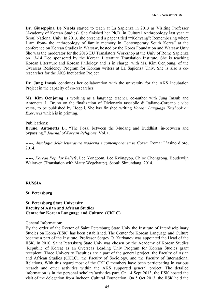**Dr. Giuseppina De Nicola** started to teach at La Sapienza in 2013 as Visiting Professor (Academy of Korean Studies). She finished her Ph.D. in Cultural Anthropology last year at Seoul National Univ. In 2013, she presented a paper titled ""Kohyang": Remembering where I am from- the anthropology of family memory in Contemporary South Korea" at the conference on Korean Studies in Warsaw, hosted by the Korea Foundation and Warsaw Univ. She was the moderator for the 2013 EU Translators Workshop at the Univ of Rome Sapienza on 13-14 Dec sponsored by the Korean Literature Translation Institute. She is teaching Korean Literature and Korean Philology and is in charge, with Ms. Kim Oenjoung, of the Overseas Residency Program for Korean writers at La Sapienza Univ. She is also a coresearcher for the AKS Incubation Project.

**Dr. Jung Imsuk** continues her collaboration with the university for the AKS Incubation Project in the capacity of co-researcher.

**Ms. Kim Oenjoung** is working as a language teacher, co-author with Jung Imsuk and Antonetta L. Bruno on the finalization of Dizionario tascabile di Italiano-Coreano e vice versa, to be published by Hoepli. She has finished writing *Korean Language Textbook on Exercises* which is in printing.

#### Publications:

**Bruno, Antonetta L.**, "The Posal between the Mudang and Buddhist: in-between and bypassing," *Journal of Korean Religions*, Vol.+.

-----, *Antologia della letteratura moderna e contemporanea in Corea,* Roma: L'asino d'oro, 2014.

-----, *Korean Popular Beliefs*, Lee Yongbŏm, Lee Kyŏngyŏp, Ch'oe Chongsŏng, Boudewijn Walraven (Translation with Matty Wegehaupt), Seoul: Simundang, 2014.

#### **RUSSIA**

#### **St. Petersburg**

#### **St. Petersburg State University Faculty of Asian and African Studie**s **Centre for Korean Language and Culture (CKLC)**

#### General Information:

By the order of the Rector of Saint Petersburg State Univ the Institute of Interdisciplinary Studies on Korea (IISK) has been established. The Center for Korean Language and Culture became a part of the Institute. Professor Sergey O. Kurbanov was appointed the Head of the IISK. In 2010, Saint Petersburg State Univ was chosen by the Academy of Korean Studies (Republic of Korea) as an Overseas Leading Univ Program for Korean Studies grant recepient. Three University Faculties are a part of the general project: the Faculty of Asian and African Studies (CKLC), the Faculty of Sociology, and the Faculty of International Relations. With this regard most of the CKLC members have been participating in various reearch and other activities within the AKS supported general project. The detailed information is in the personal scholars'activities part. On 14 Sept 2013, the IISK hosted the visit of the delegation from Incheon Cultural Foundation. On 5 Oct 2013, the IISK held the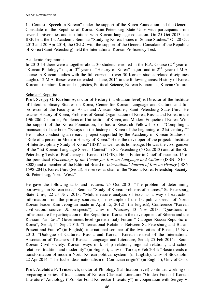1st Contest "Speech in Korean" under the support of the Korea Foundation and the General Consulate of the Republic of Korea. Saint-Petersburg State Univ with participants from several universities and institutions with Korean language education. On 25 Oct 2013, the IISK held the 1st Academic Seminar "Studying Korea: Issues of Source Studies." On 20 Oct 2013 and 20 Apr 2014, the CKLC with the support of the General Consulate of the Republic of Korea (Saint Petersburg) held the International Korean Proficiency Test.

## Academic Programme:

In 2013-14 there were altogether about 30 students enrolled in the B.A. Course  $(2<sup>nd</sup>$  year of "Korean Philology" major, 3<sup>rd</sup> year of "History of Korea" major, and in 2<sup>nd</sup> year of M.A. course in Korean studies with the full curricula (over 30 Korean studies-related disciplines taught). 12 M.A. theses were defended in June, 2014 in the following areas: History of Korea, Korean Literature, Korean Linguistics, Political Science, Korean Economics, Korean Culture.

## Scholars' Reports:

**Prof. Sergey O. Kurbanov**, doctor of History (habilitation level) is Director of the Institute of Interdisciplinary Studies on Korea, Center for Korean Language and Culture, and full professor of the Faculty of Asian and African Studies, Saint Petersburg State Univ. He teaches History of Korea, Problems of Social Organization of Korea, Russia and Korea in the 19th-20th Centuries, Problems of Unification of Korea, and Modern Etiquette of Korea. With the support of the Korea Foundation, he has a Research Fellowship on "Compiling a manuscript of the book "Essays on the history of Korea of the beginning of 21st century."" He is also conducting a research project supported by the Academy of Korean Studies on "Role of a person in Modern History of Korea." He is the developer of the project: "Institute of Interdisciplinary Study of Korea" (IISK) as well as its homepage. He was the co-organizer of the "1st Korean Language Speech Contest" in St.-Petersburg (5 Oct 2013) and of the St.- Petersburg Tests of Proficiency in Korean (TOPIK). He is Editor in Chief of issue no. 15 of the periodical *Proceedings of the Center for Korean Language and Culture* (ISSN 1810 – 8008) and a member of the Editorial Board of *International Journal of Korean History* (ISSN 1598-2041). Korea Univ (Seoul). He serves as chair of the "Russia-Korea Friendship Society: St.-Petersburg, North-West."

He gave the following talks and lectures: 25 Oct 2013: "The problem of determining borrowings in Korean texts," Seminar "Study of Korea: problems of sources," St.-Petersburg State Univ; 22-23 Nov 2013: "Multi-measure analysis of texts as a way of extraction information from the primary sources. (The example of the 1st public speech of North Korean leader Kim Jeong-un made in April 15, 2012)" (in English), Conference "Korean civilization: sources & prospects"), Univ of Warsaw; 13 Nov 2013: "Questions of infrastructure for participation of the Republic of Korea in the development of Siberia and the Russian Far East," Government-level (presidential) Forum "Dialogue Russia-Republic of Korea", Seoul; 11 Sept 2013: "International Relations Between St.-Petersburg and Busan: Present and Future" (in English), international seminar of the twin cities of Busan; 15 Nov 2013: "Dialogue of Cultures: Russia and Korea," Korean festival of the International Association of Teachers of Russian Language and Literature, Seoul; 25 Feb 2014: "South Korean Civil society: Korean ways of kinship relations, regional relations, and school relations: tradition and modernity" (in English), Univ of Turku; 6 Feb 2014: "Basic trends of transformation of modern North Korean political system" (in English), Univ of Stockholm; 22 Apr 2014: "The Juche ideas-nationalism of Confucian origin?" (in English), Univ of Oslo.

**Prof. Adelaida F. Trotsevich**, doctor of Philology (habilitation level) continues working on preparing a series of translations of Korean Classical Literature "Golden Fund of Korean Literature" Anthology ("Zolotoi Fond Koreiskoi Literatury") in cooperation with Sergey V.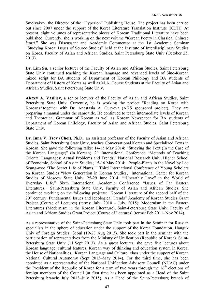Smolyakov, the Director of the "Hyperion" Publishing House. The project has been carried out since 2007 under the support of the Korea Literature Translation Institute (KLTI). At present, eight volumes of representative pieces of Korean Traditional Literature have been published. Currently, she is working on the next volume "Korean Poetry in Classical Chinese *hansi*." She was Discussant and Academic Commentor at the 1st Academic Seminar "Studying Korea: Issues of Source Studies" held at the Institute of Interdisciplinary Studies on Korea, Faculty of Asian and African Studies. Saint Petersburg State Univ (October 25, 2013).

**Dr. Lim Su**, a senior lecturer of the Faculty of Asian and African Studies, Saint Petersburg State Univ continued teaching the Korean language and advanced levels of Sino-Korean mixed script for BA students of Department of Korean Philology and BA students of Department of History of Korea as well as M.A. Course Students at the Faculty of Asian and African Studies, Saint Petersburg State Univ.

**Alexey A. Vasiliev,** a senior lecturer of the Faculty of Asian and African Studies, Saint Petersburg State Univ. Currently, he is working the project "Reading on Korea with Koreans*"* together with Dr. Anastasia A. Guryeva (AKS sponsored project). They are preparing a manual under the same title. He continued to teach intermediate levels of Korean and Theoretical Grammar of Korean as well as Korean Newspaper for BA students of Department of Korean Philology, Faculty of Asian and African Studies, Saint Petersburg State Univ.

**Dr. Inna V. Tsoy (Choi)**, Ph.D., an assistant professor of the Faculty of Asian and African Studies, Saint Petersburg State Univ, teaches Conversational Korean and Specialized Texts in Korean. She gave the following talks: 14-15 May 2014: "Studying the Text (In the Case of the Korean Language)" (in Korean), 2nd International Conference "Methods of Teaching Oriental Languages: Actual Problems and Trends," National Research Univ, Higher School of Economic, School of Asian Studies; 15-16 May 2014: "People-Plants in the Novel by Lee Seung-woo 'The Secret Life of Plants,'" Third International Conference of Young Scholars on Korean Studies "New Generation in Korean Studies," International Center for Korean Studies of Moscow State Univ; 25-29 June 2014: ""Unearthly Love" in the World of Everyday Life," Sixth International Academic Conference "Issues of Far Eastern Literatures," Saint-Petersburg State Univ, Faculty of Asian and African Studies. She continued working on the following projects: "Korean Literature of the second half of the 20<sup>th</sup> century: Fundamental Issues and Ideological Trends" Academy of Korean Studies Grant Project (Course of Lectures) (terms: July, 2010 – July, 2015); Modernism in the Eastern Literatures (Modernism in the Korean Literature), Saint-Petersburg State Univ, Faculty of Asian and African Studies Grant Project (Course of Lectures) (terms: Feb 2011–Nov 2014).

As a representative of the Saint-Petersburg State Univ took part in the Seminar for Russian specialists in the sphere of education under the support of the Korea Foundation. Hanguk Univ of Foreign Studies, Seoul (19-28 Aug 2013). She took part in the seminar with the participation of representatives from the Ministry of Unification (Republic of Korea). Saint-Petersburg State Univ (11 Sept 2013). As a guest lecturer, she gave five lectures about Korean language, cultural features, Korean way of thinking and education system in Korea, the House of Nationalities, 'Korean Language and Culture' class under the support of Korean National Cultural Autonomy (Sept 2013–May 2014). For the third time, she has been appointed as a representative of the National Unification Advisory Council (NUAC) under the President of the Republic of Korea for a term of two vears through the  $16<sup>th</sup>$  elections of foreign members of the Council (at first time has been appointed as a Head of the Saint Petersburg branch; July 2013–July 2015). As a Head of the Saint-Petersburg branch of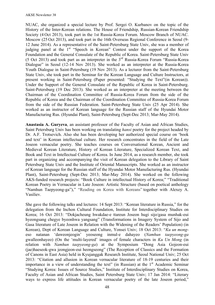NUAC, she organized a special lecture by Prof. Sergei O. Kurbanov on the topic of the History of the Inter-Korean relations. The House of Friendship, Russian-Korean Friendship Society (4 Oct 2013), took part in the 1st Russia-Korea Forum. Moscow Branch of NUAC. Moscow (25 Oct 2013), and took part in the 16th Overseas Regional Conference in Seoul (9- 12 June 2014). As a representative of the Saint-Petersburg State Univ, she was a member of judging panel at the  $1<sup>st</sup>$  "Speech in Korean" Contest under the support of the Korea Foundation and the General Consulate of the Republic of Korea. Saint-Petersburg State Univ (5 Oct 2013) and took part as an interpreter in the 3rd Russia-Korea Forum "Russia-Korea Dialogue" in Seoul (12-14 Nov 2013). She worked as an interpreter at the Russia-Korea Youth Dialogue in Saint-Petersburg (19 Nov 2013). As a lecturer from the Saint-Petersburg State Univ, she took part in the Seminar for the Korean Language and Culture Instructors, at present working in Saint-Petersburg (Paper presented: "Studying the Text"(in Korean)). Under the Support of the General Consulate of the Republic of Korea in Saint-Petersburg. Saint-Petersburg (19 Dec 2013). She worked as an interpreter at the meeting between the Chairman of the Coordination Committee of Russia-Korea Forum from the side of the Republic of Korea and the Chairman of the Coordination Committee of Russia-Korea Forum from the side of the Russian Federation. Saint-Petersburg State Univ (25 Apr 2014). She worked as an instructor of Korean language for the Russian staff of the Hyundai Motor Manufacturing Rus. (Hyundai Plant), Saint-Petersburg (Sept-Dec 2013; Mar-May 2014).

**Anastasia A. Guryeva**, an assistant professor of the Faculty of Asian and African Studies, Saint Petersburg Univ has been working on translating *hansi* poetry for the project headed by Dr. A.F. Trotsevich. Also she has been developing her authorized special course on 'book and text' in Korean intellectual culture. Her research concentrates in the field of the Late Joseon vernacular poetry. She teaches courses on Conversational Korean, Ancient and Medieval Korean Literature, History of Korean Literature, Specialized Korean Text, and Book and Text in Intellectual Culture of Korea. In June 2014, as a research member, she took part in organizing and accompanying the visit of Korean delegation to the Library of Saint Petersburg State Univ and the Institute of Oriental Manuscripts. She worked as an instructor of Korean language for the Russian staff of the Hyundai Motor Manufacturing Rus. (Hyundai Plant), Saint-Petersburg (Sept-Dec 2013; Mar-May 2014). She worked on the following AKS-funded research projects: "Book Culture in intellectual History of Korea;" "Traditional Korean Poetry in Vernacular in Late Joseon: Artistic Structure (based on poetical anthology "Namhun Taepyeong-ga")," "Reading on Korea with Koreans" together with Alexey A. Vasiliev.

She gave the following talks and lectures: 14 Sept 2013: "Korean literature in Russia," for the delegation from the Inchon Cultural Foundation, Institute for Interdisciplinary Studies on Korea; 16 Oct 2013: "Dokjacheung hwakdae-e ttareun Joseon hugi sijo/gasa munhak-eui hyeongsang chegye byeonhwa yangsang" (Transformations in Imagery System of Sijo and Gasa literature of Late Joseon in Relation with the Widening of the Readers' Population) (in Korean), Dept of Korean Language and Culture, Yonsei Univ; 18 Oct 2013: "*Ku un mong*eso natanan 'daweonjeogin' yeoseong inmul-e dahayeo (*Namhun taepyeong-ga* gwalleonhayeo) (On the 'multi-layered' images of female characters in *Ku Un Mong* (in relation with *Namhun taepyeong-ga*) at the Symposium "Dong Asia Gojeon-eui (jae)haeseok-gwa jeongjeon-eui heongseong" (The Reception of Classics and the Formation of Canons in East Asia) held in Kyujanggak Research Institute, Seoul National Univ; 25 Oct 2013: "Citation and allusion in Korean vernacular literature of 18-19 centuries and their importance in a view of understanding the text" (in Russian) at the  $1<sup>st</sup>$  Academic Seminar "Studying Korea: Issues of Source Studies," Institute of Interdisciplinary Studies on Korea, Faculty of Asian and African Studies, Saint Petersburg State Univ; 17 Jan 2014: "Literary ways to express life attitudes in Korean vernacular poetry of the late Joseon period,"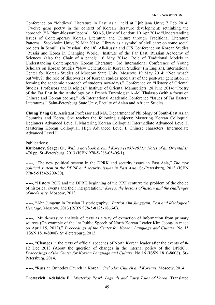Conference on "Medieval Literature in East Asia" held at Ljubljana Univ; 7 Feb 2014: "Twelve *gasa* poetry in the context of Korean literature development: rethinking the approach ("A Plum-blossom"poem)," SOAS, Univ of London; 10 Apr 2014: "Understanding Issues of Contemporary Korean Literature and Culture through Traditional Literature Patterns," Stockholm Univ; 29 Mar 2014: "Library as a symbol of civil care: on some social projects in Seoul" (in Russian), the 18<sup>th</sup> All-Russia and CIS Conference on Korean Studies "Russia and Korea in Changing World," Institute of the Far East, Russian Academy of Sciences. (also the Chair of a panel); 16 May 2014: "Role of Traditional Models in Understanding Contemporary Korean Literature" 3rd International Conference of Young Scholars on Korean Studies "New Generation in Korean Studies" (in English), International Center for Korean Studies of Moscow State Univ. Moscow; 19 May 2014: "Not 'what?' but 'why?': the role of discoveries of Korean studies specialist of the post-war generation in forming the academic approach of students nowadays," Conference on "History of Oriental Studies: Professors and Disciples," Institute of Oriental Manuscripts; 28 June 2014: "Poetry of the Far East in the Anthology by a French Turkologist A.-M. Thalasso (with a focus on Chinese and Korean poems)," 6th International Academic Conference "Issues of Far Eastern Literatures," Saint-Petersburg State Univ, Faculty of Asian and African Studies.

**Chung Yang Ok**, Assistant Professor and MA, Department of Philology of South-East Asian Countries and Korea. She teaches the following subjects: Mastering Korean Colloquial Beginners Advanced Level I, Mastering Korean Colloquial Intermediate Advanced Level I, Mastering Korean Colloquial. High Advanced Level I, Chinese characters. Intermediate Advanced Level I.

## Publications:

**Kurbanov, Sergei O.**, *With a notebook around Korea (1987-2011): Notes of an Orientalist*. 476 pp. St.-Petersburg, 2013 (ISBN 978-5-288-05405-1).

-----, "The new political system in the DPRK and security issues in East Asia," *The new political system in the DPRK and security issues in East Asia*. St.-Petersburg, 2013 (ISBN 978-5-91542-209-30).

-----, "History ROK and the DPRK beginning of the XXI century: the problem of the choice of historical events and their interpretation," *Korea: the lessons of history and the challenges of modernity*. Moscow, 2013.

-----, "Ahn Jungeun in Russian Historiography," *Patriot Ahn Junggeun. Feat and Ideological Heritage*. Moscow, 2013 (ISBN 978-5-8125-1866-0).

-----, "Multi-measure analysis of texts as a way of extraction of information from primary sources (On example of the 1st Public Speech of North Korean Leader Kim Jeong-un made on April 15, 2012)," *Proceedings of the Center for Korean Language and Culture*, No 15 (ISSN 1810-8008). St.-Petersburg, 2013.

-----, "Changes in the texts of official speeches of North Korean leader after the events of 8- 12 Dec 2013 (About the question of changes in the internal policy of the DPRK)," *Proceedings of the Center for Korean Language and Culture*, No 16 (ISSN 1810-8008). St.- Petersburg, 2014.

-----, "Russian Orthodox Church in Korea," *Orthodox Church and Koreans*, Moscow, 2014.

**Trotsevich, Adelaida F.**, *Mysterios Pearl: Legends and Fairy Tales of Korea*. Translated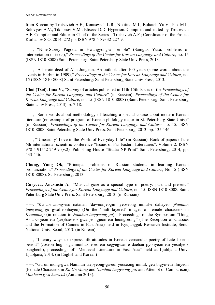from Korean by Trotsevich A.F., Kontsevich L.R., Nikitina M.I., Boltatch Yu.V., Pak M.I., Solovyov A.V., Tikhonov V.M., Eliseev D.D. Hyperion. Compiled and edited by Trotsevich A.F. Compiler and Editor-in-Chief of the Series – Trotsevich A.F.; Coordinator of the Project Kurbanov S.O. 2014. 272 pp. ISBN 978-5-89332-227-9.

-----, "Nine-Storey Pagoda in Hwangyongsa Temple" (Samguk Yusa: problems of interpretation of texts)," *Proceedings of the Center for Korean Language and Culture*, no. 15 (ISSN 1810-8008) Saint Petersburg: Saint Petersburg State Univ Press, 2013.

-----, "A heroic deed of Ahn Jungeun. An outlook after 100 years (some words about the events in Harbin in 1909)," *Proceedings of the Center for Korean Language and Culture*, no. 15 (ISSN 1810-8008) Saint Petersburg: Saint Petersburg State Univ Press, 2013.

**Choi (Tsoi), Inna V.**, "Survey of articles published in 11th-15th Issues of the *Proceedings of the Center for Korean Language and Culture*" (in Russian), *Proceedings of the Center for Korean Language and Culture*, no. 15 (ISSN 1810-8008) (Saint Petersburg: Saint Petersburg State Univ Press, 2013), p. 7-18.

-----, "Some words about methodology of teaching a special course about modern Korean literature (on example of program of Korean philology major in St.-Petersburg State Univ)" (in Russian), *Proceedings of the Center for Korean Language and Culture*, no. 15. ISSN 1810-8008. Saint Petersburg State Univ Press. Saint Petersburg, 2013. pp. 135-146.

-----, "'Unearthly' Love in the World of Everyday Life" (in Russian), Book of papers of the 6th international scientific conference "Issues of Far Eastern Literatures". Volume 2. ISBN 978-5-91542-249-9 (v.2). Publishing House "Studia NP-Print" Saint-Petersburg, 2014, pp. 433-446.

**Chung, Yang Ok**, "Principal problems of Russian students in learning Korean pronunciation," *Proceedings of the Center for Korean Language and Culture*, No 15 (ISSN 1810-8008). St.-Petersburg, 2013.

**Guryeva, Anastasia A.**, "Musical *gasa* as a special type of poetry: past and present," *Proceedings of the Center for Korean Language and Culture*, no. 15. ISSN 1810-8008. Saint Petersburg State Univ Press. Saint Petersburg, 2013. (in Russian)

-----, "*Ku un mong*-eso natanan 'daweonjeogin' yeoseong inmul-e dahayeo (*Namhun taepyeong-ga* gwalleonhayeo) (On the 'multi-layered' images of female characters in *Kuunmong* (in relation to *Namhun taepyeong-ga*)," Proceedings of the Symposium "Dong Asia Gojeon-eui (jae)haeseok-gwa jeongjeon-eui heongseong" (The Reception of Classics and the Formation of Canons in East Asia) held in Kyujanggak Research Institute, Seoul National Univ. Seoul, 2013. (in Korean)

-----, "Literary ways to express life attitudes in Korean vernacular poetry of Late Joseon period" (Joseon hugi siga munhak eseo-eui segyegwan-e daehan pyohyeon-eui yesuljeok bangbeob), proceedings of "Medieval Literature in East Asia" held at Ljubljana Univ, Ljubljana, 2014. (in English and Korean)

-----, "Gu un mong-gwa Namhun taepyeong-ga-eui yeoseong inmul, geu bigyo-eui ilmyeon (Female Characters in *Ku Un Mong* and *Namhun taepyeong-ga*: and Attempt of Comparison), *Munheon gwa haeseok* (Autumn 2013).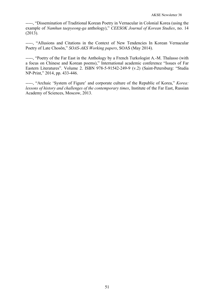-----, "Dissemination of Traditional Korean Poetry in Vernacular in Colonial Korea (using the example of *Namhun taepyeong-ga* anthology)," *CEESOK Journal of Korean Studies*, no. 14 (2013).

-----, "Allusions and Citations in the Context of New Tendencies In Korean Vernacular Poetry of Late Chosŏn," *SOAS-AKS Working papers*, SOAS (May 2014).

-----, "Poetry of the Far East in the Anthology by a French Turkologist A.-M. Thalasso (with a focus on Chinese and Korean poems)," International academic conference "Issues of Far Eastern Literatures". Volume 2. ISBN 978-5-91542-249-9 (v.2) (Saint-Petersburg: "Studia NP-Print," 2014, pp. 433-446.

-----, "Archaic 'System of Figure' and corporate culture of the Republic of Korea," *Korea: lessons of history and challenges of the contemporary times*, Institute of the Far East, Russian Academy of Sciences, Moscow, 2013.